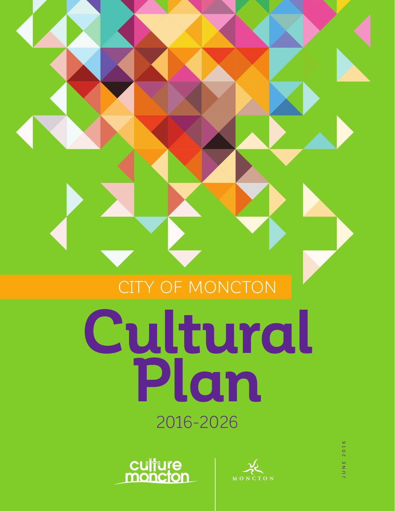# CITY OF MONCTON

# **Cultural Plan** 2016-2026





2016 JUNE 2016UNE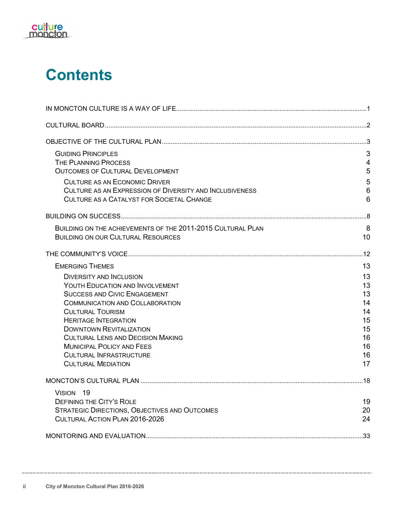

## **Contents**

| <b>GUIDING PRINCIPLES</b>                                   | 3              |
|-------------------------------------------------------------|----------------|
| THE PLANNING PROCESS                                        | $\overline{4}$ |
| <b>OUTCOMES OF CULTURAL DEVELOPMENT</b>                     | 5              |
| <b>CULTURE AS AN ECONOMIC DRIVER</b>                        | 5              |
| CULTURE AS AN EXPRESSION OF DIVERSITY AND INCLUSIVENESS     | 6              |
| <b>CULTURE AS A CATALYST FOR SOCIETAL CHANGE</b>            | 6              |
|                                                             |                |
| BUILDING ON THE ACHIEVEMENTS OF THE 2011-2015 CULTURAL PLAN | 8              |
| <b>BUILDING ON OUR CULTURAL RESOURCES</b>                   | 10             |
|                                                             |                |
| <b>EMERGING THEMES</b>                                      | 13             |
| <b>DIVERSITY AND INCLUSION</b>                              | 13             |
| YOUTH EDUCATION AND INVOLVEMENT                             | 13             |
| <b>SUCCESS AND CIVIC ENGAGEMENT</b>                         | 13             |
| <b>COMMUNICATION AND COLLABORATION</b>                      | 14             |
| <b>CULTURAL TOURISM</b>                                     | 14             |
| <b>HERITAGE INTEGRATION</b>                                 | 15             |
| <b>DOWNTOWN REVITALIZATION</b>                              | 15             |
| <b>CULTURAL LENS AND DECISION MAKING</b>                    | 16             |
| <b>MUNICIPAL POLICY AND FEES</b>                            | 16             |
| <b>CULTURAL INFRASTRUCTURE</b>                              | 16             |
| <b>CULTURAL MEDIATION</b>                                   | 17             |
|                                                             |                |
| VISION 19                                                   |                |
| <b>DEFINING THE CITY'S ROLE</b>                             | 19             |
| <b>STRATEGIC DIRECTIONS, OBJECTIVES AND OUTCOMES</b>        | 20             |
| CULTURAL ACTION PLAN 2016-2026                              | 24             |
|                                                             | 33             |
|                                                             |                |

\_\_\_\_\_\_\_\_\_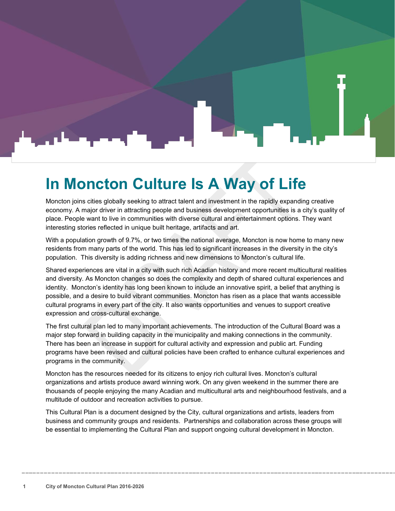# <span id="page-2-0"></span>**In Moncton Culture Is A Way of Life**

Moncton joins cities globally seeking to attract talent and investment in the rapidly expanding creative economy. A major driver in attracting people and business development opportunities is a city's quality of place. People want to live in communities with diverse cultural and entertainment options. They want interesting stories reflected in unique built heritage, artifacts and art.

With a population growth of 9.7%, or two times the national average, Moncton is now home to many new residents from many parts of the world. This has led to significant increases in the diversity in the city's population. This diversity is adding richness and new dimensions to Moncton's cultural life.

Shared experiences are vital in a city with such rich Acadian history and more recent multicultural realities and diversity. As Moncton changes so does the complexity and depth of shared cultural experiences and identity. Moncton's identity has long been known to include an innovative spirit, a belief that anything is possible, and a desire to build vibrant communities. Moncton has risen as a place that wants accessible cultural programs in every part of the city. It also wants opportunities and venues to support creative expression and cross-cultural exchange.

The first cultural plan led to many important achievements. The introduction of the Cultural Board was a major step forward in building capacity in the municipality and making connections in the community. There has been an increase in support for cultural activity and expression and public art. Funding programs have been revised and cultural policies have been crafted to enhance cultural experiences and programs in the community.

Moncton has the resources needed for its citizens to enjoy rich cultural lives. Moncton's cultural organizations and artists produce award winning work. On any given weekend in the summer there are thousands of people enjoying the many Acadian and multicultural arts and neighbourhood festivals, and a multitude of outdoor and recreation activities to pursue.

This Cultural Plan is a document designed by the City, cultural organizations and artists, leaders from business and community groups and residents. Partnerships and collaboration across these groups will be essential to implementing the Cultural Plan and support ongoing cultural development in Moncton.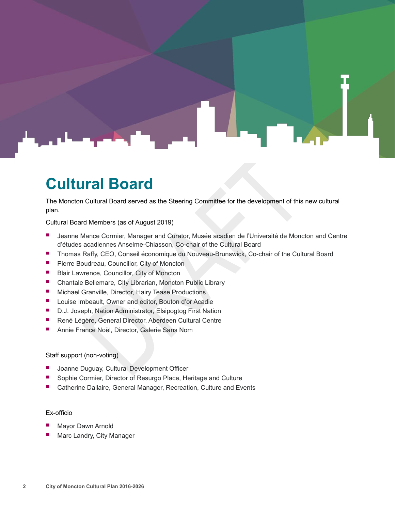

### <span id="page-3-0"></span>**Cultural Board**

The Moncton Cultural Board served as the Steering Committee for the development of this new cultural plan.

Cultural Board Members (as of August 2019)

- Jeanne Mance Cormier, Manager and Curator, Musée acadien de l'Université de Moncton and Centre d'études acadiennes Anselme-Chiasson, Co-chair of the Cultural Board
- **Thomas Raffy, CEO, Conseil économique du Nouveau-Brunswick, Co-chair of the Cultural Board**
- **P** Pierre Boudreau, Councillor, City of Moncton
- Blair Lawrence, Councillor, City of Moncton
- Chantale Bellemare, City Librarian, Moncton Public Library
- **E** Michael Granville, Director, Hairy Tease Productions
- **Louise Imbeault, Owner and editor, Bouton d'or Acadie**
- D.J. Joseph, Nation Administrator, Elsipogtog First Nation
- René Légère, General Director, Aberdeen Cultural Centre
- Annie France Noël, Director, Galerie Sans Nom

#### Staff support (non-voting)

- Joanne Duguay, Cultural Development Officer
- Sophie Cormier, Director of Resurgo Place, Heritage and Culture
- Catherine Dallaire, General Manager, Recreation, Culture and Events

#### Ex-officio

- Mayor Dawn Arnold
- Marc Landry, City Manager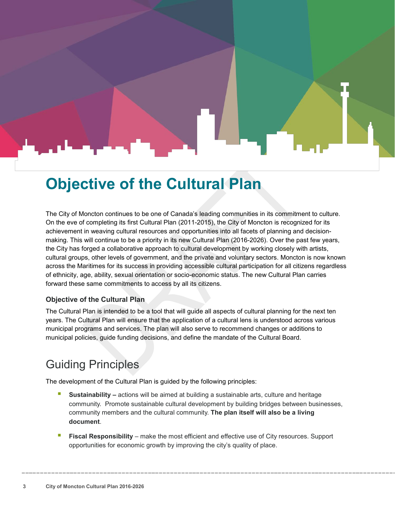### <span id="page-4-0"></span>**Objective of the Cultural Plan**

The City of Moncton continues to be one of Canada's leading communities in its commitment to culture. On the eve of completing its first Cultural Plan (2011-2015), the City of Moncton is recognized for its achievement in weaving cultural resources and opportunities into all facets of planning and decisionmaking. This will continue to be a priority in its new Cultural Plan (2016-2026). Over the past few years, the City has forged a collaborative approach to cultural development by working closely with artists, cultural groups, other levels of government, and the private and voluntary sectors. Moncton is now known across the Maritimes for its success in providing accessible cultural participation for all citizens regardless of ethnicity, age, ability, sexual orientation or socio-economic status. The new Cultural Plan carries forward these same commitments to access by all its citizens.

#### **Objective of the Cultural Plan**

The Cultural Plan is intended to be a tool that will guide all aspects of cultural planning for the next ten years. The Cultural Plan will ensure that the application of a cultural lens is understood across various municipal programs and services. The plan will also serve to recommend changes or additions to municipal policies, guide funding decisions, and define the mandate of the Cultural Board.

### <span id="page-4-1"></span>Guiding Principles

The development of the Cultural Plan is guided by the following principles:

- **Sustainability –** actions will be aimed at building a sustainable arts, culture and heritage community. Promote sustainable cultural development by building bridges between businesses, community members and the cultural community. **The plan itself will also be a living document**.
- **Fiscal Responsibility** make the most efficient and effective use of City resources. Support opportunities for economic growth by improving the city's quality of place.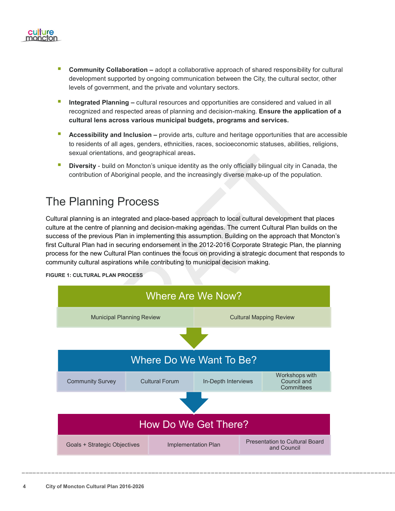

- **Community Collaboration –** adopt a collaborative approach of shared responsibility for cultural development supported by ongoing communication between the City, the cultural sector, other levels of government, and the private and voluntary sectors.
- **Integrated Planning –** cultural resources and opportunities are considered and valued in all recognized and respected areas of planning and decision-making. **Ensure the application of a cultural lens across various municipal budgets, programs and services.**
- **Accessibility and Inclusion –** provide arts, culture and heritage opportunities that are accessible to residents of all ages, genders, ethnicities, races, socioeconomic statuses, abilities, religions, sexual orientations, and geographical areas**.**
- **Diversity**  build on Moncton's unique identity as the only officially bilingual city in Canada, the contribution of Aboriginal people, and the increasingly diverse make-up of the population.

### <span id="page-5-0"></span>The Planning Process

Cultural planning is an integrated and place-based approach to local cultural development that places culture at the centre of planning and decision-making agendas. The current Cultural Plan builds on the success of the previous Plan in implementing this assumption. Building on the approach that Moncton's first Cultural Plan had in securing endorsement in the 2012-2016 Corporate Strategic Plan, the planning process for the new Cultural Plan continues the focus on providing a strategic document that responds to community cultural aspirations while contributing to municipal decision making.

**FIGURE 1: CULTURAL PLAN PROCESS**

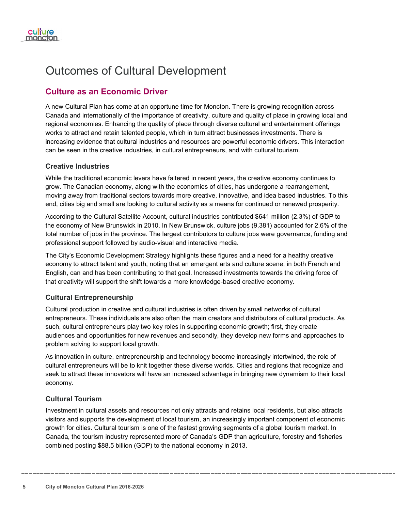

### <span id="page-6-0"></span>Outcomes of Cultural Development

### <span id="page-6-1"></span>**Culture as an Economic Driver**

A new Cultural Plan has come at an opportune time for Moncton. There is growing recognition across Canada and internationally of the importance of creativity, culture and quality of place in growing local and regional economies. Enhancing the quality of place through diverse cultural and entertainment offerings works to attract and retain talented people, which in turn attract businesses investments. There is increasing evidence that cultural industries and resources are powerful economic drivers. This interaction can be seen in the creative industries, in cultural entrepreneurs, and with cultural tourism.

#### **Creative Industries**

While the traditional economic levers have faltered in recent years, the creative economy continues to grow. The Canadian economy, along with the economies of cities, has undergone a rearrangement, moving away from traditional sectors towards more creative, innovative, and idea based industries. To this end, cities big and small are looking to cultural activity as a means for continued or renewed prosperity.

According to the Cultural Satellite Account, cultural industries contributed \$641 million (2.3%) of GDP to the economy of New Brunswick in 2010. In New Brunswick, culture jobs (9,381) accounted for 2.6% of the total number of jobs in the province. The largest contributors to culture jobs were governance, funding and professional support followed by audio-visual and interactive media.

The City's Economic Development Strategy highlights these figures and a need for a healthy creative economy to attract talent and youth, noting that an emergent arts and culture scene, in both French and English, can and has been contributing to that goal. Increased investments towards the driving force of that creativity will support the shift towards a more knowledge-based creative economy.

#### **Cultural Entrepreneurship**

Cultural production in creative and cultural industries is often driven by small networks of cultural entrepreneurs. These individuals are also often the main creators and distributors of cultural products. As such, cultural entrepreneurs play two key roles in supporting economic growth; first, they create audiences and opportunities for new revenues and secondly, they develop new forms and approaches to problem solving to support local growth.

As innovation in culture, entrepreneurship and technology become increasingly intertwined, the role of cultural entrepreneurs will be to knit together these diverse worlds. Cities and regions that recognize and seek to attract these innovators will have an increased advantage in bringing new dynamism to their local economy.

#### **Cultural Tourism**

Investment in cultural assets and resources not only attracts and retains local residents, but also attracts visitors and supports the development of local tourism, an increasingly important component of economic growth for cities. Cultural tourism is one of the fastest growing segments of a global tourism market. In Canada, the tourism industry represented more of Canada's GDP than agriculture, forestry and fisheries combined posting \$88.5 billion (GDP) to the national economy in 2013.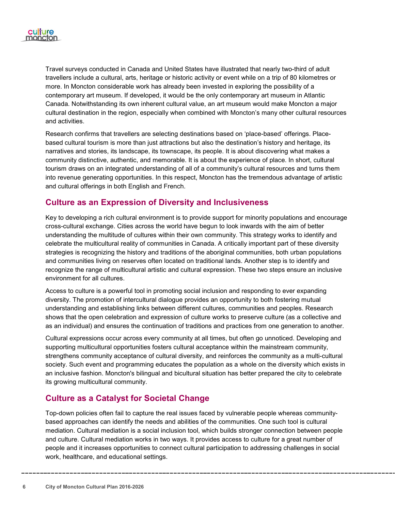

Travel surveys conducted in Canada and United States have illustrated that nearly two-third of adult travellers include a cultural, arts, heritage or historic activity or event while on a trip of 80 kilometres or more. In Moncton considerable work has already been invested in exploring the possibility of a contemporary art museum. If developed, it would be the only contemporary art museum in Atlantic Canada. Notwithstanding its own inherent cultural value, an art museum would make Moncton a major cultural destination in the region, especially when combined with Moncton's many other cultural resources and activities.

Research confirms that travellers are selecting destinations based on 'place-based' offerings. Placebased cultural tourism is more than just attractions but also the destination's history and heritage, its narratives and stories, its landscape, its townscape, its people. It is about discovering what makes a community distinctive, authentic, and memorable. It is about the experience of place. In short, cultural tourism draws on an integrated understanding of all of a community's cultural resources and turns them into revenue generating opportunities. In this respect, Moncton has the tremendous advantage of artistic and cultural offerings in both English and French.

#### <span id="page-7-0"></span>**Culture as an Expression of Diversity and Inclusiveness**

Key to developing a rich cultural environment is to provide support for minority populations and encourage cross-cultural exchange. Cities across the world have begun to look inwards with the aim of better understanding the multitude of cultures within their own community. This strategy works to identify and celebrate the multicultural reality of communities in Canada. A critically important part of these diversity strategies is recognizing the history and traditions of the aboriginal communities, both urban populations and communities living on reserves often located on traditional lands. Another step is to identify and recognize the range of multicultural artistic and cultural expression. These two steps ensure an inclusive environment for all cultures.

Access to culture is a powerful tool in promoting social inclusion and responding to ever expanding diversity. The promotion of intercultural dialogue provides an opportunity to both fostering mutual understanding and establishing links between different cultures, communities and peoples. Research shows that the open celebration and expression of culture works to preserve culture (as a collective and as an individual) and ensures the continuation of traditions and practices from one generation to another.

Cultural expressions occur across every community at all times, but often go unnoticed. Developing and supporting multicultural opportunities fosters cultural acceptance within the mainstream community, strengthens community acceptance of cultural diversity, and reinforces the community as a multi-cultural society. Such event and programming educates the population as a whole on the diversity which exists in an inclusive fashion. Moncton's bilingual and bicultural situation has better prepared the city to celebrate its growing multicultural community.

#### <span id="page-7-1"></span>**Culture as a Catalyst for Societal Change**

Top-down policies often fail to capture the real issues faced by vulnerable people whereas communitybased approaches can identify the needs and abilities of the communities. One such tool is cultural mediation. Cultural mediation is a social inclusion tool, which builds stronger connection between people and culture. Cultural mediation works in two ways. It provides access to culture for a great number of people and it increases opportunities to connect cultural participation to addressing challenges in social work, healthcare, and educational settings.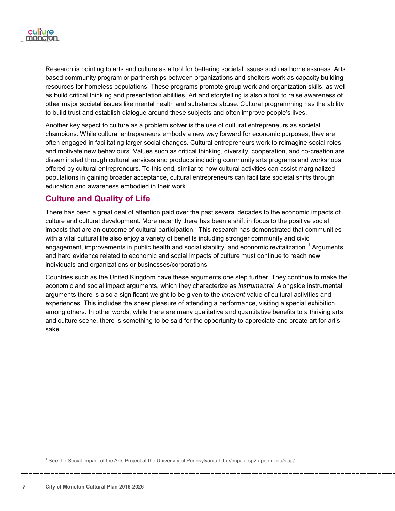

Research is pointing to arts and culture as a tool for bettering societal issues such as homelessness. Arts based community program or partnerships between organizations and shelters work as capacity building resources for homeless populations. These programs promote group work and organization skills, as well as build critical thinking and presentation abilities. Art and storytelling is also a tool to raise awareness of other major societal issues like mental health and substance abuse. Cultural programming has the ability to build trust and establish dialogue around these subjects and often improve people's lives.

Another key aspect to culture as a problem solver is the use of cultural entrepreneurs as societal champions. While cultural entrepreneurs embody a new way forward for economic purposes, they are often engaged in facilitating larger social changes. Cultural entrepreneurs work to reimagine social roles and motivate new behaviours. Values such as critical thinking, diversity, cooperation, and co-creation are disseminated through cultural services and products including community arts programs and workshops offered by cultural entrepreneurs. To this end, similar to how cultural activities can assist marginalized populations in gaining broader acceptance, cultural entrepreneurs can facilitate societal shifts through education and awareness embodied in their work.

#### **Culture and Quality of Life**

There has been a great deal of attention paid over the past several decades to the economic impacts of culture and cultural development. More recently there has been a shift in focus to the positive social impacts that are an outcome of cultural participation. This research has demonstrated that communities with a vital cultural life also enjoy a variety of benefits including stronger community and civic engagement, improvements in public health and social stability, and economic revitalization.<sup>[1](#page-8-0)</sup> Arguments and hard evidence related to economic and social impacts of culture must continue to reach new individuals and organizations or businesses/corporations.

Countries such as the United Kingdom have these arguments one step further. They continue to make the economic and social impact arguments, which they characterize as *instrumental.* Alongside instrumental arguments there is also a significant weight to be given to the *inherent* value of cultural activities and experiences. This includes the sheer pleasure of attending a performance, visiting a special exhibition, among others. In other words, while there are many qualitative and quantitative benefits to a thriving arts and culture scene, there is something to be said for the opportunity to appreciate and create art for art's sake.

l

<span id="page-8-0"></span><sup>1</sup> See the Social Impact of the Arts Project at the University of Pennsylvania http://impact.sp2.upenn.edu/siap/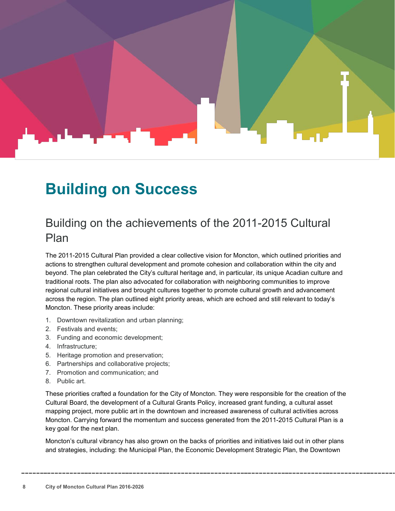### <span id="page-9-0"></span>**Building on Success**

### <span id="page-9-1"></span>Building on the achievements of the 2011-2015 Cultural Plan

The 2011-2015 Cultural Plan provided a clear collective vision for Moncton, which outlined priorities and actions to strengthen cultural development and promote cohesion and collaboration within the city and beyond. The plan celebrated the City's cultural heritage and, in particular, its unique Acadian culture and traditional roots. The plan also advocated for collaboration with neighboring communities to improve regional cultural initiatives and brought cultures together to promote cultural growth and advancement across the region. The plan outlined eight priority areas, which are echoed and still relevant to today's Moncton. These priority areas include:

- 1. Downtown revitalization and urban planning;
- 2. Festivals and events;
- 3. Funding and economic development;
- 4. Infrastructure;
- 5. Heritage promotion and preservation;
- 6. Partnerships and collaborative projects;
- 7. Promotion and communication; and
- 8. Public art.

These priorities crafted a foundation for the City of Moncton. They were responsible for the creation of the Cultural Board, the development of a Cultural Grants Policy, increased grant funding, a cultural asset mapping project, more public art in the downtown and increased awareness of cultural activities across Moncton. Carrying forward the momentum and success generated from the 2011-2015 Cultural Plan is a key goal for the next plan.

Moncton's cultural vibrancy has also grown on the backs of priorities and initiatives laid out in other plans and strategies, including: the Municipal Plan, the Economic Development Strategic Plan, the Downtown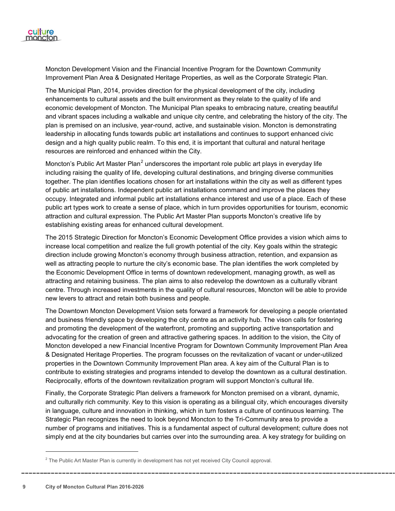

Moncton Development Vision and the Financial Incentive Program for the Downtown Community Improvement Plan Area & Designated Heritage Properties, as well as the Corporate Strategic Plan.

The Municipal Plan, 2014, provides direction for the physical development of the city, including enhancements to cultural assets and the built environment as they relate to the quality of life and economic development of Moncton. The Municipal Plan speaks to embracing nature, creating beautiful and vibrant spaces including a walkable and unique city centre, and celebrating the history of the city. The plan is premised on an inclusive, year-round, active, and sustainable vision. Moncton is demonstrating leadership in allocating funds towards public art installations and continues to support enhanced civic design and a high quality public realm. To this end, it is important that cultural and natural heritage resources are reinforced and enhanced within the City.

Moncton's Public Art Master Plan<sup>[2](#page-10-0)</sup> underscores the important role public art plays in everyday life including raising the quality of life, developing cultural destinations, and bringing diverse communities together. The plan identifies locations chosen for art installations within the city as well as different types of public art installations. Independent public art installations command and improve the places they occupy. Integrated and informal public art installations enhance interest and use of a place. Each of these public art types work to create a sense of place, which in turn provides opportunities for tourism, economic attraction and cultural expression. The Public Art Master Plan supports Moncton's creative life by establishing existing areas for enhanced cultural development.

The 2015 Strategic Direction for Moncton's Economic Development Office provides a vision which aims to increase local competition and realize the full growth potential of the city. Key goals within the strategic direction include growing Moncton's economy through business attraction, retention, and expansion as well as attracting people to nurture the city's economic base. The plan identifies the work completed by the Economic Development Office in terms of downtown redevelopment, managing growth, as well as attracting and retaining business. The plan aims to also redevelop the downtown as a culturally vibrant centre. Through increased investments in the quality of cultural resources, Moncton will be able to provide new levers to attract and retain both business and people.

The Downtown Moncton Development Vision sets forward a framework for developing a people orientated and business friendly space by developing the city centre as an activity hub. The vison calls for fostering and promoting the development of the waterfront, promoting and supporting active transportation and advocating for the creation of green and attractive gathering spaces. In addition to the vision, the City of Moncton developed a new Financial Incentive Program for Downtown Community Improvement Plan Area & Designated Heritage Properties. The program focusses on the revitalization of vacant or under-utilized properties in the Downtown Community Improvement Plan area. A key aim of the Cultural Plan is to contribute to existing strategies and programs intended to develop the downtown as a cultural destination. Reciprocally, efforts of the downtown revitalization program will support Moncton's cultural life.

Finally, the Corporate Strategic Plan delivers a framework for Moncton premised on a vibrant, dynamic, and culturally rich community. Key to this vision is operating as a bilingual city, which encourages diversity in language, culture and innovation in thinking, which in turn fosters a culture of continuous learning. The Strategic Plan recognizes the need to look beyond Moncton to the Tri-Community area to provide a number of programs and initiatives. This is a fundamental aspect of cultural development; culture does not simply end at the city boundaries but carries over into the surrounding area. A key strategy for building on

l

<span id="page-10-0"></span> $2$  The Public Art Master Plan is currently in development has not yet received City Council approval.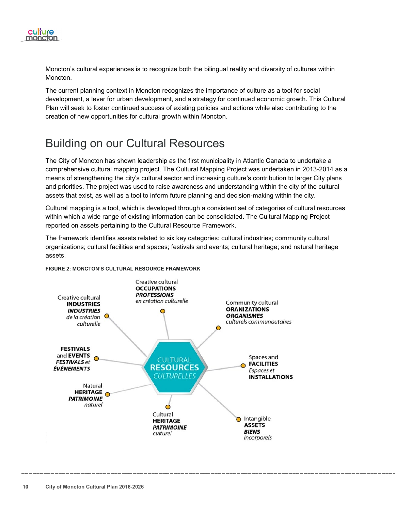

Moncton's cultural experiences is to recognize both the bilingual reality and diversity of cultures within Moncton.

The current planning context in Moncton recognizes the importance of culture as a tool for social development, a lever for urban development, and a strategy for continued economic growth. This Cultural Plan will seek to foster continued success of existing policies and actions while also contributing to the creation of new opportunities for cultural growth within Moncton.

### <span id="page-11-0"></span>Building on our Cultural Resources

The City of Moncton has shown leadership as the first municipality in Atlantic Canada to undertake a comprehensive cultural mapping project. The Cultural Mapping Project was undertaken in 2013-2014 as a means of strengthening the city's cultural sector and increasing culture's contribution to larger City plans and priorities. The project was used to raise awareness and understanding within the city of the cultural assets that exist, as well as a tool to inform future planning and decision-making within the city.

Cultural mapping is a tool, which is developed through a consistent set of categories of cultural resources within which a wide range of existing information can be consolidated. The Cultural Mapping Project reported on assets pertaining to the Cultural Resource Framework.

The framework identifies assets related to six key categories: cultural industries; community cultural organizations; cultural facilities and spaces; festivals and events; cultural heritage; and natural heritage assets.



**FIGURE 2: MONCTON'S CULTURAL RESOURCE FRAMEWORK**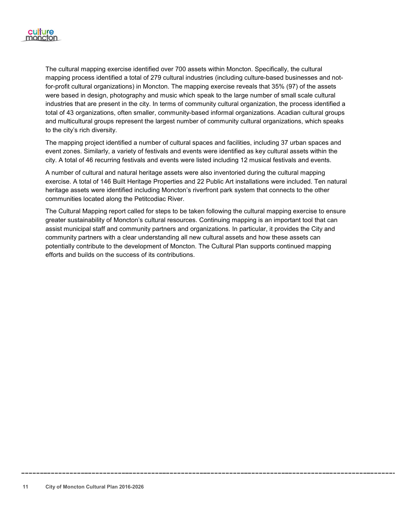

The cultural mapping exercise identified over 700 assets within Moncton. Specifically, the cultural mapping process identified a total of 279 cultural industries (including culture-based businesses and notfor-profit cultural organizations) in Moncton. The mapping exercise reveals that 35% (97) of the assets were based in design, photography and music which speak to the large number of small scale cultural industries that are present in the city. In terms of community cultural organization, the process identified a total of 43 organizations, often smaller, community-based informal organizations. Acadian cultural groups and multicultural groups represent the largest number of community cultural organizations, which speaks to the city's rich diversity.

The mapping project identified a number of cultural spaces and facilities, including 37 urban spaces and event zones. Similarly, a variety of festivals and events were identified as key cultural assets within the city. A total of 46 recurring festivals and events were listed including 12 musical festivals and events.

A number of cultural and natural heritage assets were also inventoried during the cultural mapping exercise. A total of 146 Built Heritage Properties and 22 Public Art installations were included. Ten natural heritage assets were identified including Moncton's riverfront park system that connects to the other communities located along the Petitcodiac River.

The Cultural Mapping report called for steps to be taken following the cultural mapping exercise to ensure greater sustainability of Moncton's cultural resources. Continuing mapping is an important tool that can assist municipal staff and community partners and organizations. In particular, it provides the City and community partners with a clear understanding all new cultural assets and how these assets can potentially contribute to the development of Moncton. The Cultural Plan supports continued mapping efforts and builds on the success of its contributions.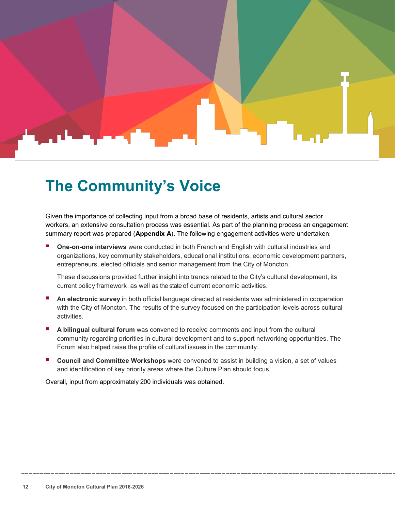

### <span id="page-13-0"></span>**The Community's Voice**

Given the importance of collecting input from a broad base of residents, artists and cultural sector workers, an extensive consultation process was essential. As part of the planning process an engagement summary report was prepared (**Appendix A**). The following engagement activities were undertaken:

 **One-on-one interviews** were conducted in both French and English with cultural industries and organizations, key community stakeholders, educational institutions, economic development partners, entrepreneurs, elected officials and senior management from the City of Moncton.

These discussions provided further insight into trends related to the City's cultural development, its current policy framework, as well as the state of current economic activities.

- **An electronic survey** in both official language directed at residents was administered in cooperation with the City of Moncton. The results of the survey focused on the participation levels across cultural activities.
- **A bilingual cultural forum** was convened to receive comments and input from the cultural community regarding priorities in cultural development and to support networking opportunities. The Forum also helped raise the profile of cultural issues in the community.
- **Council and Committee Workshops** were convened to assist in building a vision, a set of values and identification of key priority areas where the Culture Plan should focus.

Overall, input from approximately 200 individuals was obtained.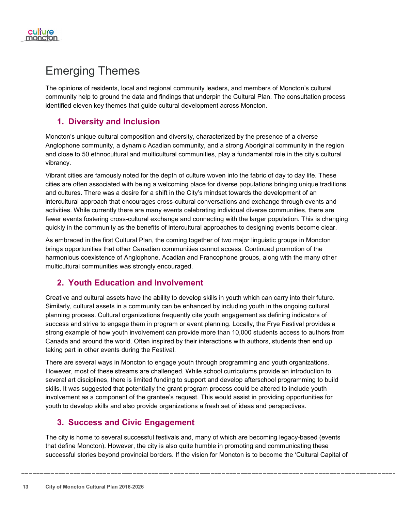

### <span id="page-14-0"></span>Emerging Themes

The opinions of residents, local and regional community leaders, and members of Moncton's cultural community help to ground the data and findings that underpin the Cultural Plan. The consultation process identified eleven key themes that guide cultural development across Moncton.

### <span id="page-14-1"></span>**1. Diversity and Inclusion**

Moncton's unique cultural composition and diversity, characterized by the presence of a diverse Anglophone community, a dynamic Acadian community, and a strong Aboriginal community in the region and close to 50 ethnocultural and multicultural communities, play a fundamental role in the city's cultural vibrancy.

Vibrant cities are famously noted for the depth of culture woven into the fabric of day to day life. These cities are often associated with being a welcoming place for diverse populations bringing unique traditions and cultures. There was a desire for a shift in the City's mindset towards the development of an intercultural approach that encourages cross-cultural conversations and exchange through events and activities. While currently there are many events celebrating individual diverse communities, there are fewer events fostering cross-cultural exchange and connecting with the larger population. This is changing quickly in the community as the benefits of intercultural approaches to designing events become clear.

As embraced in the first Cultural Plan, the coming together of two major linguistic groups in Moncton brings opportunities that other Canadian communities cannot access. Continued promotion of the harmonious coexistence of Anglophone, Acadian and Francophone groups, along with the many other multicultural communities was strongly encouraged.

#### <span id="page-14-2"></span>**2. Youth Education and Involvement**

Creative and cultural assets have the ability to develop skills in youth which can carry into their future. Similarly, cultural assets in a community can be enhanced by including youth in the ongoing cultural planning process. Cultural organizations frequently cite youth engagement as defining indicators of success and strive to engage them in program or event planning. Locally, the Frye Festival provides a strong example of how youth involvement can provide more than 10,000 students access to authors from Canada and around the world. Often inspired by their interactions with authors, students then end up taking part in other events during the Festival.

There are several ways in Moncton to engage youth through programming and youth organizations. However, most of these streams are challenged. While school curriculums provide an introduction to several art disciplines, there is limited funding to support and develop afterschool programming to build skills. It was suggested that potentially the grant program process could be altered to include youth involvement as a component of the grantee's request. This would assist in providing opportunities for youth to develop skills and also provide organizations a fresh set of ideas and perspectives.

#### <span id="page-14-3"></span>**3. Success and Civic Engagement**

The city is home to several successful festivals and, many of which are becoming legacy-based (events that define Moncton). However, the city is also quite humble in promoting and communicating these successful stories beyond provincial borders. If the vision for Moncton is to become the 'Cultural Capital of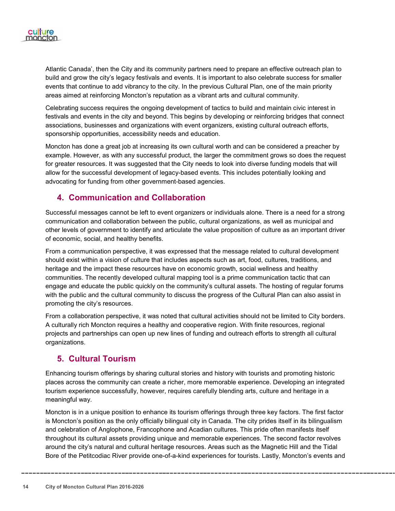

Atlantic Canada', then the City and its community partners need to prepare an effective outreach plan to build and grow the city's legacy festivals and events. It is important to also celebrate success for smaller events that continue to add vibrancy to the city. In the previous Cultural Plan, one of the main priority areas aimed at reinforcing Moncton's reputation as a vibrant arts and cultural community.

Celebrating success requires the ongoing development of tactics to build and maintain civic interest in festivals and events in the city and beyond. This begins by developing or reinforcing bridges that connect associations, businesses and organizations with event organizers, existing cultural outreach efforts, sponsorship opportunities, accessibility needs and education.

Moncton has done a great job at increasing its own cultural worth and can be considered a preacher by example. However, as with any successful product, the larger the commitment grows so does the request for greater resources. It was suggested that the City needs to look into diverse funding models that will allow for the successful development of legacy-based events. This includes potentially looking and advocating for funding from other government-based agencies.

#### <span id="page-15-0"></span>**4. Communication and Collaboration**

Successful messages cannot be left to event organizers or individuals alone. There is a need for a strong communication and collaboration between the public, cultural organizations, as well as municipal and other levels of government to identify and articulate the value proposition of culture as an important driver of economic, social, and healthy benefits.

From a communication perspective, it was expressed that the message related to cultural development should exist within a vision of culture that includes aspects such as art, food, cultures, traditions, and heritage and the impact these resources have on economic growth, social wellness and healthy communities. The recently developed cultural mapping tool is a prime communication tactic that can engage and educate the public quickly on the community's cultural assets. The hosting of regular forums with the public and the cultural community to discuss the progress of the Cultural Plan can also assist in promoting the city's resources.

From a collaboration perspective, it was noted that cultural activities should not be limited to City borders. A culturally rich Moncton requires a healthy and cooperative region. With finite resources, regional projects and partnerships can open up new lines of funding and outreach efforts to strength all cultural organizations.

#### <span id="page-15-1"></span>**5. Cultural Tourism**

Enhancing tourism offerings by sharing cultural stories and history with tourists and promoting historic places across the community can create a richer, more memorable experience. Developing an integrated tourism experience successfully, however, requires carefully blending arts, culture and heritage in a meaningful way.

Moncton is in a unique position to enhance its tourism offerings through three key factors. The first factor is Moncton's position as the only officially bilingual city in Canada. The city prides itself in its bilingualism and celebration of Anglophone, Francophone and Acadian cultures. This pride often manifests itself throughout its cultural assets providing unique and memorable experiences. The second factor revolves around the city's natural and cultural heritage resources. Areas such as the Magnetic Hill and the Tidal Bore of the Petitcodiac River provide one-of-a-kind experiences for tourists. Lastly, Moncton's events and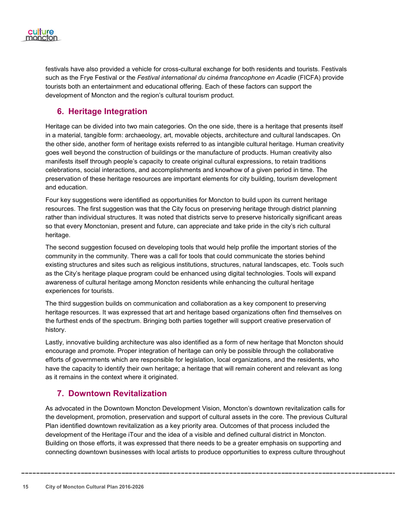

festivals have also provided a vehicle for cross-cultural exchange for both residents and tourists. Festivals such as the Frye Festival or the *Festival international du cinéma francophone en Acadie* (FICFA) provide tourists both an entertainment and educational offering. Each of these factors can support the development of Moncton and the region's cultural tourism product.

### <span id="page-16-0"></span>**6. Heritage Integration**

Heritage can be divided into two main categories. On the one side, there is a heritage that presents itself in a material, tangible form: archaeology, art, movable objects, architecture and cultural landscapes. On the other side, another form of heritage exists referred to as intangible cultural heritage. Human creativity goes well beyond the construction of buildings or the manufacture of products. Human creativity also manifests itself through people's capacity to create original cultural expressions, to retain traditions celebrations, social interactions, and accomplishments and knowhow of a given period in time. The preservation of these heritage resources are important elements for city building, tourism development and education.

Four key suggestions were identified as opportunities for Moncton to build upon its current heritage resources. The first suggestion was that the City focus on preserving heritage through district planning rather than individual structures. It was noted that districts serve to preserve historically significant areas so that every Monctonian, present and future, can appreciate and take pride in the city's rich cultural heritage.

The second suggestion focused on developing tools that would help profile the important stories of the community in the community. There was a call for tools that could communicate the stories behind existing structures and sites such as religious institutions, structures, natural landscapes, etc. Tools such as the City's heritage plaque program could be enhanced using digital technologies. Tools will expand awareness of cultural heritage among Moncton residents while enhancing the cultural heritage experiences for tourists.

The third suggestion builds on communication and collaboration as a key component to preserving heritage resources. It was expressed that art and heritage based organizations often find themselves on the furthest ends of the spectrum. Bringing both parties together will support creative preservation of history.

Lastly, innovative building architecture was also identified as a form of new heritage that Moncton should encourage and promote. Proper integration of heritage can only be possible through the collaborative efforts of governments which are responsible for legislation, local organizations, and the residents, who have the capacity to identify their own heritage; a heritage that will remain coherent and relevant as long as it remains in the context where it originated.

#### <span id="page-16-1"></span>**7. Downtown Revitalization**

As advocated in the Downtown Moncton Development Vision, Moncton's downtown revitalization calls for the development, promotion, preservation and support of cultural assets in the core. The previous Cultural Plan identified downtown revitalization as a key priority area. Outcomes of that process included the development of the Heritage iTour and the idea of a visible and defined cultural district in Moncton. Building on those efforts, it was expressed that there needs to be a greater emphasis on supporting and connecting downtown businesses with local artists to produce opportunities to express culture throughout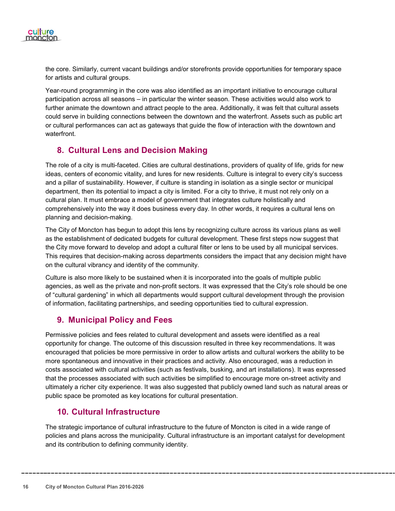

the core. Similarly, current vacant buildings and/or storefronts provide opportunities for temporary space for artists and cultural groups.

Year-round programming in the core was also identified as an important initiative to encourage cultural participation across all seasons – in particular the winter season. These activities would also work to further animate the downtown and attract people to the area. Additionally, it was felt that cultural assets could serve in building connections between the downtown and the waterfront. Assets such as public art or cultural performances can act as gateways that guide the flow of interaction with the downtown and waterfront.

#### <span id="page-17-0"></span>**8. Cultural Lens and Decision Making**

The role of a city is multi-faceted. Cities are cultural destinations, providers of quality of life, grids for new ideas, centers of economic vitality, and lures for new residents. Culture is integral to every city's success and a pillar of sustainability. However, if culture is standing in isolation as a single sector or municipal department, then its potential to impact a city is limited. For a city to thrive, it must not rely only on a cultural plan. It must embrace a model of government that integrates culture holistically and comprehensively into the way it does business every day. In other words, it requires a cultural lens on planning and decision-making.

The City of Moncton has begun to adopt this lens by recognizing culture across its various plans as well as the establishment of dedicated budgets for cultural development. These first steps now suggest that the City move forward to develop and adopt a cultural filter or lens to be used by all municipal services. This requires that decision-making across departments considers the impact that any decision might have on the cultural vibrancy and identity of the community.

Culture is also more likely to be sustained when it is incorporated into the goals of multiple public agencies, as well as the private and non-profit sectors. It was expressed that the City's role should be one of "cultural gardening" in which all departments would support cultural development through the provision of information, facilitating partnerships, and seeding opportunities tied to cultural expression.

#### <span id="page-17-1"></span>**9. Municipal Policy and Fees**

Permissive policies and fees related to cultural development and assets were identified as a real opportunity for change. The outcome of this discussion resulted in three key recommendations. It was encouraged that policies be more permissive in order to allow artists and cultural workers the ability to be more spontaneous and innovative in their practices and activity. Also encouraged, was a reduction in costs associated with cultural activities (such as festivals, busking, and art installations). It was expressed that the processes associated with such activities be simplified to encourage more on-street activity and ultimately a richer city experience. It was also suggested that publicly owned land such as natural areas or public space be promoted as key locations for cultural presentation.

#### <span id="page-17-2"></span>**10. Cultural Infrastructure**

The strategic importance of cultural infrastructure to the future of Moncton is cited in a wide range of policies and plans across the municipality. Cultural infrastructure is an important catalyst for development and its contribution to defining community identity.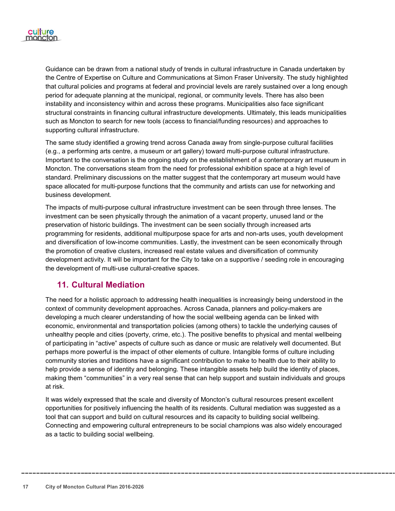

Guidance can be drawn from a national study of trends in cultural infrastructure in Canada undertaken by the Centre of Expertise on Culture and Communications at Simon Fraser University. The study highlighted that cultural policies and programs at federal and provincial levels are rarely sustained over a long enough period for adequate planning at the municipal, regional, or community levels. There has also been instability and inconsistency within and across these programs. Municipalities also face significant structural constraints in financing cultural infrastructure developments. Ultimately, this leads municipalities such as Moncton to search for new tools (access to financial/funding resources) and approaches to supporting cultural infrastructure.

The same study identified a growing trend across Canada away from single-purpose cultural facilities (e.g., a performing arts centre, a museum or art gallery) toward multi-purpose cultural infrastructure. Important to the conversation is the ongoing study on the establishment of a contemporary art museum in Moncton. The conversations steam from the need for professional exhibition space at a high level of standard. Preliminary discussions on the matter suggest that the contemporary art museum would have space allocated for multi-purpose functions that the community and artists can use for networking and business development.

The impacts of multi-purpose cultural infrastructure investment can be seen through three lenses. The investment can be seen physically through the animation of a vacant property, unused land or the preservation of historic buildings. The investment can be seen socially through increased arts programming for residents, additional multipurpose space for arts and non-arts uses, youth development and diversification of low-income communities. Lastly, the investment can be seen economically through the promotion of creative clusters, increased real estate values and diversification of community development activity. It will be important for the City to take on a supportive / seeding role in encouraging the development of multi-use cultural-creative spaces.

#### <span id="page-18-0"></span>**11. Cultural Mediation**

The need for a holistic approach to addressing health inequalities is increasingly being understood in the context of community development approaches. Across Canada, planners and policy-makers are developing a much clearer understanding of how the social wellbeing agenda can be linked with economic, environmental and transportation policies (among others) to tackle the underlying causes of unhealthy people and cities (poverty, crime, etc.). The positive benefits to physical and mental wellbeing of participating in "active" aspects of culture such as dance or music are relatively well documented. But perhaps more powerful is the impact of other elements of culture. Intangible forms of culture including community stories and traditions have a significant contribution to make to health due to their ability to help provide a sense of identity and belonging. These intangible assets help build the identity of places, making them "communities" in a very real sense that can help support and sustain individuals and groups at risk.

It was widely expressed that the scale and diversity of Moncton's cultural resources present excellent opportunities for positively influencing the health of its residents. Cultural mediation was suggested as a tool that can support and build on cultural resources and its capacity to building social wellbeing. Connecting and empowering cultural entrepreneurs to be social champions was also widely encouraged as a tactic to building social wellbeing.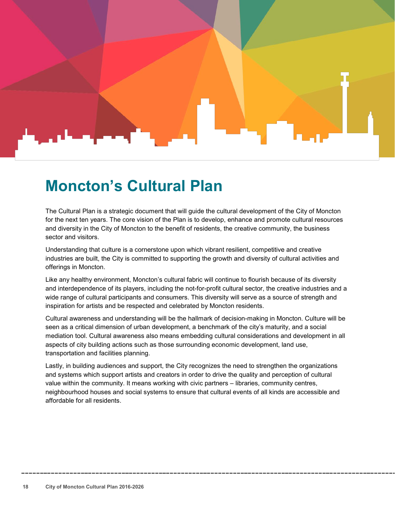### <span id="page-19-0"></span>**Moncton's Cultural Plan**

The Cultural Plan is a strategic document that will guide the cultural development of the City of Moncton for the next ten years. The core vision of the Plan is to develop, enhance and promote cultural resources and diversity in the City of Moncton to the benefit of residents, the creative community, the business sector and visitors.

Understanding that culture is a cornerstone upon which vibrant resilient, competitive and creative industries are built, the City is committed to supporting the growth and diversity of cultural activities and offerings in Moncton.

Like any healthy environment, Moncton's cultural fabric will continue to flourish because of its diversity and interdependence of its players, including the not-for-profit cultural sector, the creative industries and a wide range of cultural participants and consumers. This diversity will serve as a source of strength and inspiration for artists and be respected and celebrated by Moncton residents.

Cultural awareness and understanding will be the hallmark of decision-making in Moncton. Culture will be seen as a critical dimension of urban development, a benchmark of the city's maturity, and a social mediation tool. Cultural awareness also means embedding cultural considerations and development in all aspects of city building actions such as those surrounding economic development, land use, transportation and facilities planning.

Lastly, in building audiences and support, the City recognizes the need to strengthen the organizations and systems which support artists and creators in order to drive the quality and perception of cultural value within the community. It means working with civic partners – libraries, community centres, neighbourhood houses and social systems to ensure that cultural events of all kinds are accessible and affordable for all residents.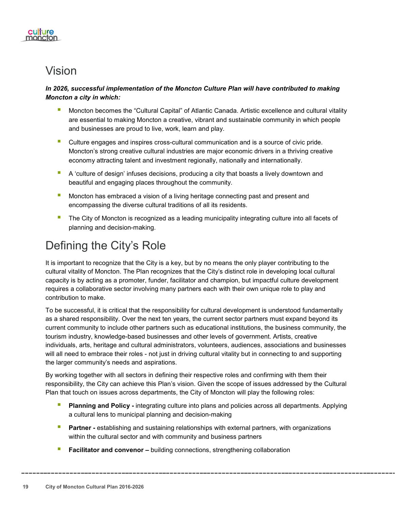

### <span id="page-20-0"></span>Vision

#### *In 2026, successful implementation of the Moncton Culture Plan will have contributed to making Moncton a city in which:*

- **Moncton becomes the "Cultural Capital" of Atlantic Canada. Artistic excellence and cultural vitality** are essential to making Moncton a creative, vibrant and sustainable community in which people and businesses are proud to live, work, learn and play.
- Culture engages and inspires cross-cultural communication and is a source of civic pride. Moncton's strong creative cultural industries are major economic drivers in a thriving creative economy attracting talent and investment regionally, nationally and internationally.
- A 'culture of design' infuses decisions, producing a city that boasts a lively downtown and beautiful and engaging places throughout the community.
- **Moncton has embraced a vision of a living heritage connecting past and present and** encompassing the diverse cultural traditions of all its residents.
- The City of Moncton is recognized as a leading municipality integrating culture into all facets of planning and decision-making.

### <span id="page-20-1"></span>Defining the City's Role

It is important to recognize that the City is a key, but by no means the only player contributing to the cultural vitality of Moncton. The Plan recognizes that the City's distinct role in developing local cultural capacity is by acting as a promoter, funder, facilitator and champion, but impactful culture development requires a collaborative sector involving many partners each with their own unique role to play and contribution to make.

To be successful, it is critical that the responsibility for cultural development is understood fundamentally as a shared responsibility. Over the next ten years, the current sector partners must expand beyond its current community to include other partners such as educational institutions, the business community, the tourism industry, knowledge-based businesses and other levels of government. Artists, creative individuals, arts, heritage and cultural administrators, volunteers, audiences, associations and businesses will all need to embrace their roles - not just in driving cultural vitality but in connecting to and supporting the larger community's needs and aspirations.

By working together with all sectors in defining their respective roles and confirming with them their responsibility, the City can achieve this Plan's vision. Given the scope of issues addressed by the Cultural Plan that touch on issues across departments, the City of Moncton will play the following roles:

- **Planning and Policy -** integrating culture into plans and policies across all departments. Applying a cultural lens to municipal planning and decision-making
- **Partner -** establishing and sustaining relationships with external partners, with organizations within the cultural sector and with community and business partners
- **Facilitator and convenor –** building connections, strengthening collaboration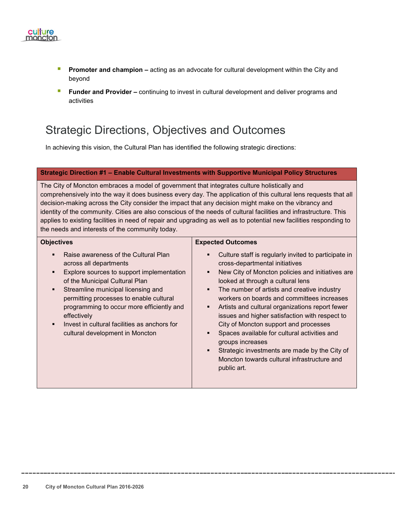

- **Promoter and champion –** acting as an advocate for cultural development within the City and beyond
- **Funder and Provider –** continuing to invest in cultural development and deliver programs and activities

### <span id="page-21-0"></span>Strategic Directions, Objectives and Outcomes

In achieving this vision, the Cultural Plan has identified the following strategic directions:

#### **Strategic Direction #1 – Enable Cultural Investments with Supportive Municipal Policy Structures**

The City of Moncton embraces a model of government that integrates culture holistically and comprehensively into the way it does business every day. The application of this cultural lens requests that all decision-making across the City consider the impact that any decision might make on the vibrancy and identity of the community. Cities are also conscious of the needs of cultural facilities and infrastructure. This applies to existing facilities in need of repair and upgrading as well as to potential new facilities responding to the needs and interests of the community today.

| <b>Objectives</b>                                                                                                                                                                                                                                                                                                                                                                                                                   | <b>Expected Outcomes</b>                                                                                                                                                                                                                                                                                                                                                                                                                                                                                                                                                                                                |
|-------------------------------------------------------------------------------------------------------------------------------------------------------------------------------------------------------------------------------------------------------------------------------------------------------------------------------------------------------------------------------------------------------------------------------------|-------------------------------------------------------------------------------------------------------------------------------------------------------------------------------------------------------------------------------------------------------------------------------------------------------------------------------------------------------------------------------------------------------------------------------------------------------------------------------------------------------------------------------------------------------------------------------------------------------------------------|
| Raise awareness of the Cultural Plan<br>across all departments<br>Explore sources to support implementation<br>$\blacksquare$<br>of the Municipal Cultural Plan<br>Streamline municipal licensing and<br>$\blacksquare$<br>permitting processes to enable cultural<br>programming to occur more efficiently and<br>effectively<br>Invest in cultural facilities as anchors for<br>$\blacksquare$<br>cultural development in Moncton | Culture staff is regularly invited to participate in<br>cross-departmental initiatives<br>New City of Moncton policies and initiatives are<br>looked at through a cultural lens<br>The number of artists and creative industry<br>٠<br>workers on boards and committees increases<br>Artists and cultural organizations report fewer<br>issues and higher satisfaction with respect to<br>City of Moncton support and processes<br>Spaces available for cultural activities and<br>groups increases<br>Strategic investments are made by the City of<br>п<br>Moncton towards cultural infrastructure and<br>public art. |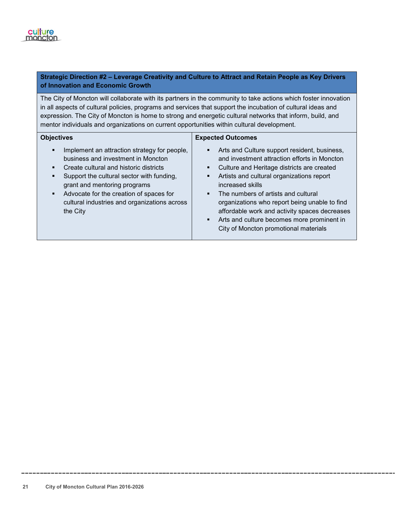#### **Strategic Direction #2 – Leverage Creativity and Culture to Attract and Retain People as Key Drivers of Innovation and Economic Growth**

The City of Moncton will collaborate with its partners in the community to take actions which foster innovation in all aspects of cultural policies, programs and services that support the incubation of cultural ideas and expression. The City of Moncton is home to strong and energetic cultural networks that inform, build, and mentor individuals and organizations on current opportunities within cultural development.

| <b>Objectives</b>                                                                                                                                                                                                                                                                                                               | <b>Expected Outcomes</b>                                                                                                                                                                                                                                                                                                                                                                                                                                        |
|---------------------------------------------------------------------------------------------------------------------------------------------------------------------------------------------------------------------------------------------------------------------------------------------------------------------------------|-----------------------------------------------------------------------------------------------------------------------------------------------------------------------------------------------------------------------------------------------------------------------------------------------------------------------------------------------------------------------------------------------------------------------------------------------------------------|
| Implement an attraction strategy for people,<br>П<br>business and investment in Moncton<br>Create cultural and historic districts<br>٠<br>Support the cultural sector with funding,<br>grant and mentoring programs<br>Advocate for the creation of spaces for<br>٠<br>cultural industries and organizations across<br>the City | Arts and Culture support resident, business,<br>٠<br>and investment attraction efforts in Moncton<br>Culture and Heritage districts are created<br>٠<br>Artists and cultural organizations report<br>٠<br>increased skills<br>The numbers of artists and cultural<br>organizations who report being unable to find<br>affordable work and activity spaces decreases<br>Arts and culture becomes more prominent in<br>٠<br>City of Moncton promotional materials |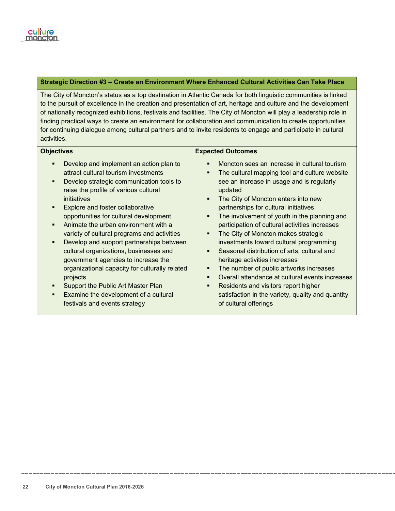#### **Strategic Direction #3 – Create an Environment Where Enhanced Cultural Activities Can Take Place**

The City of Moncton's status as a top destination in Atlantic Canada for both linguistic communities is linked to the pursuit of excellence in the creation and presentation of art, heritage and culture and the development of nationally recognized exhibitions, festivals and facilities. The City of Moncton will play a leadership role in finding practical ways to create an environment for collaboration and communication to create opportunities for continuing dialogue among cultural partners and to invite residents to engage and participate in cultural activities.

#### **Objectives**

- Develop and implement an action plan to attract cultural tourism investments
- Develop strategic communication tools to raise the profile of various cultural initiatives
- Explore and foster collaborative opportunities for cultural development
- Animate the urban environment with a variety of cultural programs and activities
- Develop and support partnerships between cultural organizations, businesses and government agencies to increase the organizational capacity for culturally related projects
- Support the Public Art Master Plan
- Examine the development of a cultural festivals and events strategy

#### **Expected Outcomes**

- **Moncton sees an increase in cultural tourism**
- The cultural mapping tool and culture website see an increase in usage and is regularly updated
- The City of Moncton enters into new partnerships for cultural initiatives
- The involvement of youth in the planning and participation of cultural activities increases
- The City of Moncton makes strategic investments toward cultural programming
- **Seasonal distribution of arts, cultural and** heritage activities increases
- The number of public artworks increases
- **•** Overall attendance at cultural events increases
- Residents and visitors report higher satisfaction in the variety, quality and quantity of cultural offerings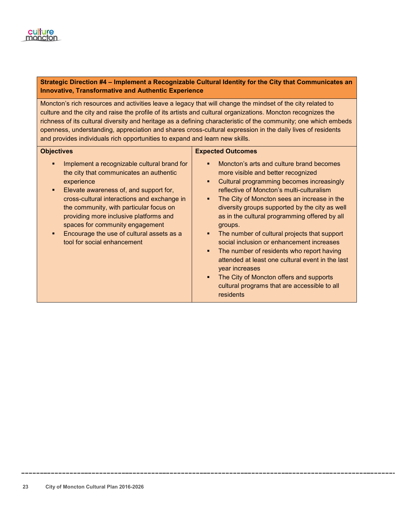

#### **Strategic Direction #4 – Implement a Recognizable Cultural Identity for the City that Communicates an Innovative, Transformative and Authentic Experience**

Moncton's rich resources and activities leave a legacy that will change the mindset of the city related to culture and the city and raise the profile of its artists and cultural organizations. Moncton recognizes the richness of its cultural diversity and heritage as a defining characteristic of the community; one which embeds openness, understanding, appreciation and shares cross-cultural expression in the daily lives of residents and provides individuals rich opportunities to expand and learn new skills.

#### **Objectives**

- **IMPLEMENT A FECOGNIZABLE CULTAINAL STANDER** the city that communicates an authentic experience
- Elevate awareness of, and support for, cross-cultural interactions and exchange in the community, with particular focus on providing more inclusive platforms and spaces for community engagement
- Encourage the use of cultural assets as a tool for social enhancement

#### **Expected Outcomes**

- **Moncton's arts and culture brand becomes** more visible and better recognized
- **•** Cultural programming becomes increasingly reflective of Moncton's multi-culturalism
- The City of Moncton sees an increase in the diversity groups supported by the city as well as in the cultural programming offered by all groups.
- The number of cultural projects that support social inclusion or enhancement increases
- The number of residents who report having attended at least one cultural event in the last year increases
- The City of Moncton offers and supports cultural programs that are accessible to all residents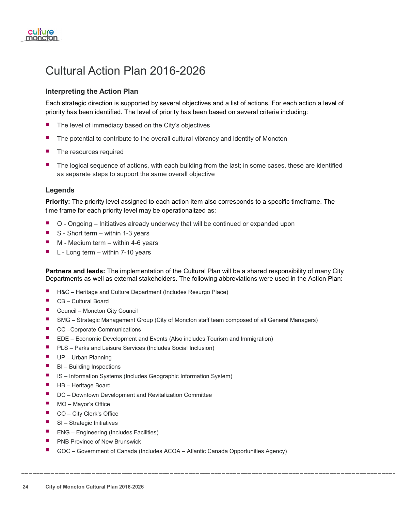

### <span id="page-25-0"></span>Cultural Action Plan 2016-2026

#### **Interpreting the Action Plan**

Each strategic direction is supported by several objectives and a list of actions. For each action a level of priority has been identified. The level of priority has been based on several criteria including:

- The level of immediacy based on the City's objectives
- The potential to contribute to the overall cultural vibrancy and identity of Moncton
- The resources required
- The logical sequence of actions, with each building from the last; in some cases, these are identified as separate steps to support the same overall objective

#### **Legends**

**Priority:** The priority level assigned to each action item also corresponds to a specific timeframe. The time frame for each priority level may be operationalized as:

- O Ongoing Initiatives already underway that will be continued or expanded upon
- $\blacksquare$  S Short term within 1-3 years
- $\blacksquare$  M Medium term within 4-6 years
- $\blacksquare$  L Long term within 7-10 years

**Partners and leads:** The implementation of the Cultural Plan will be a shared responsibility of many City Departments as well as external stakeholders. The following abbreviations were used in the Action Plan:

- H&C Heritage and Culture Department (Includes Resurgo Place)
- CB Cultural Board
- Council Moncton City Council
- SMG Strategic Management Group (City of Moncton staff team composed of all General Managers)
- CC –Corporate Communications
- EDE Economic Development and Events (Also includes Tourism and Immigration)
- **PLS** Parks and Leisure Services (Includes Social Inclusion)
- **UP** Urban Planning
- $\blacksquare$  BI Building Inspections
- IS Information Systems (Includes Geographic Information System)
- HB Heritage Board
- DC Downtown Development and Revitalization Committee
- MO Mayor's Office
- CO City Clerk's Office
- $\blacksquare$  SI Strategic Initiatives
- **ENG** Engineering (Includes Facilities)
- **PIMB Province of New Brunswick**
- GOC Government of Canada (Includes ACOA Atlantic Canada Opportunities Agency)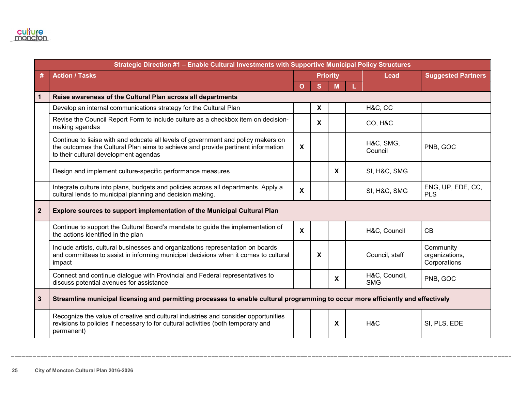|                | Strategic Direction #1 - Enable Cultural Investments with Supportive Municipal Policy Structures                                                                                                               |                           |                           |   |    |                             |                                             |
|----------------|----------------------------------------------------------------------------------------------------------------------------------------------------------------------------------------------------------------|---------------------------|---------------------------|---|----|-----------------------------|---------------------------------------------|
|                | <b>Action / Tasks</b>                                                                                                                                                                                          | <b>Priority</b>           |                           |   |    | <b>Lead</b>                 | <b>Suggested Partners</b>                   |
|                |                                                                                                                                                                                                                | $\Omega$                  | <sub>S</sub>              | M | L. |                             |                                             |
| 1              | Raise awareness of the Cultural Plan across all departments                                                                                                                                                    |                           |                           |   |    |                             |                                             |
|                | Develop an internal communications strategy for the Cultural Plan                                                                                                                                              |                           | $\boldsymbol{\mathsf{X}}$ |   |    | H&C, CC                     |                                             |
|                | Revise the Council Report Form to include culture as a checkbox item on decision-<br>making agendas                                                                                                            |                           | $\mathbf{x}$              |   |    | <b>CO, H&amp;C</b>          |                                             |
|                | Continue to liaise with and educate all levels of government and policy makers on<br>the outcomes the Cultural Plan aims to achieve and provide pertinent information<br>to their cultural development agendas | X                         |                           |   |    | H&C, SMG,<br>Council        | PNB, GOC                                    |
|                | Design and implement culture-specific performance measures                                                                                                                                                     |                           |                           | X |    | SI, H&C, SMG                |                                             |
|                | Integrate culture into plans, budgets and policies across all departments. Apply a<br>cultural lends to municipal planning and decision making.                                                                | $\boldsymbol{\mathsf{X}}$ |                           |   |    | SI, H&C, SMG                | ENG, UP, EDE, CC,<br><b>PLS</b>             |
| $\overline{2}$ | Explore sources to support implementation of the Municipal Cultural Plan                                                                                                                                       |                           |                           |   |    |                             |                                             |
|                | Continue to support the Cultural Board's mandate to guide the implementation of<br>the actions identified in the plan                                                                                          | $\boldsymbol{\mathsf{X}}$ |                           |   |    | H&C, Council                | CB                                          |
|                | Include artists, cultural businesses and organizations representation on boards<br>and committees to assist in informing municipal decisions when it comes to cultural<br>impact                               |                           | $\boldsymbol{\mathsf{X}}$ |   |    | Council, staff              | Community<br>organizations,<br>Corporations |
|                | Connect and continue dialogue with Provincial and Federal representatives to<br>discuss potential avenues for assistance                                                                                       |                           |                           | X |    | H&C, Council,<br><b>SMG</b> | PNB, GOC                                    |
| $\mathbf{3}$   | Streamline municipal licensing and permitting processes to enable cultural programming to occur more efficiently and effectively                                                                               |                           |                           |   |    |                             |                                             |
|                | Recognize the value of creative and cultural industries and consider opportunities<br>revisions to policies if necessary to for cultural activities (both temporary and<br>permanent)                          |                           |                           | X |    | H&C                         | SI, PLS, EDE                                |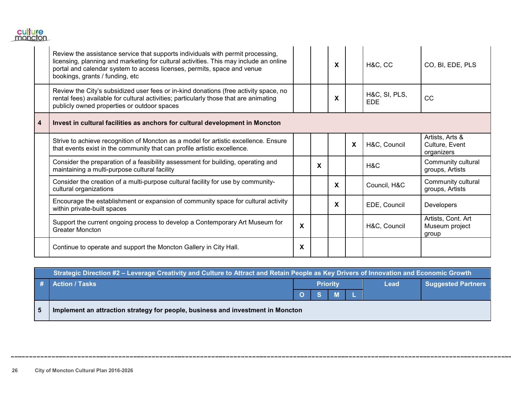

|   | Review the assistance service that supports individuals with permit processing,<br>licensing, planning and marketing for cultural activities. This may include an online<br>portal and calendar system to access licenses, permits, space and venue<br>bookings, grants / funding, etc |   |   | X |                           | H&C, CC              | CO, BI, EDE, PLS                                |
|---|----------------------------------------------------------------------------------------------------------------------------------------------------------------------------------------------------------------------------------------------------------------------------------------|---|---|---|---------------------------|----------------------|-------------------------------------------------|
|   | Review the City's subsidized user fees or in-kind donations (free activity space, no<br>rental fees) available for cultural activities; particularly those that are animating<br>publicly owned properties or outdoor spaces                                                           |   |   | X |                           | H&C, SI, PLS,<br>EDE | CC                                              |
| 4 | Invest in cultural facilities as anchors for cultural development in Moncton                                                                                                                                                                                                           |   |   |   |                           |                      |                                                 |
|   | Strive to achieve recognition of Moncton as a model for artistic excellence. Ensure<br>that events exist in the community that can profile artistic excellence.                                                                                                                        |   |   |   | $\boldsymbol{\mathsf{X}}$ | H&C, Council         | Artists, Arts &<br>Culture, Event<br>organizers |
|   | Consider the preparation of a feasibility assessment for building, operating and<br>maintaining a multi-purpose cultural facility                                                                                                                                                      |   | X |   |                           | H&C                  | Community cultural<br>groups, Artists           |
|   | Consider the creation of a multi-purpose cultural facility for use by community-<br>cultural organizations                                                                                                                                                                             |   |   | X |                           | Council, H&C         | Community cultural<br>groups, Artists           |
|   | Encourage the establishment or expansion of community space for cultural activity<br>within private-built spaces                                                                                                                                                                       |   |   | X |                           | EDE, Council         | Developers                                      |
|   | Support the current ongoing process to develop a Contemporary Art Museum for<br><b>Greater Moncton</b>                                                                                                                                                                                 | X |   |   |                           | H&C, Council         | Artists, Cont. Art<br>Museum project<br>group   |
|   | Continue to operate and support the Moncton Gallery in City Hall.                                                                                                                                                                                                                      | X |   |   |                           |                      |                                                 |

|                | Strategic Direction #2 – Leverage Creativity and Culture to Attract and Retain People as Key Drivers of Innovation and Economic Growth |                 |             |  |  |  |  |  |      |                           |
|----------------|----------------------------------------------------------------------------------------------------------------------------------------|-----------------|-------------|--|--|--|--|--|------|---------------------------|
|                | # Action / Tasks                                                                                                                       | <b>Priority</b> |             |  |  |  |  |  | Lead | <b>Suggested Partners</b> |
|                |                                                                                                                                        |                 | <b>OSML</b> |  |  |  |  |  |      |                           |
| 5 <sup>5</sup> | Implement an attraction strategy for people, business and investment in Moncton                                                        |                 |             |  |  |  |  |  |      |                           |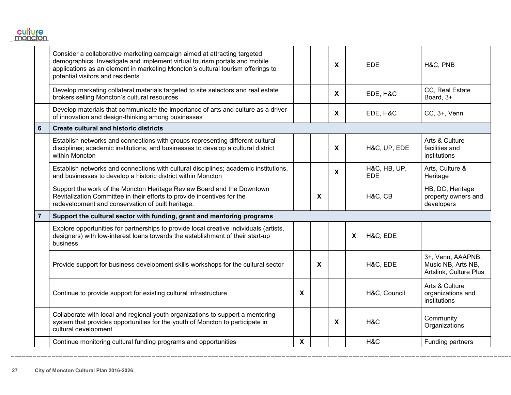

|                | Consider a collaborative marketing campaign aimed at attracting targeted<br>demographics. Investigate and implement virtual tourism portals and mobile<br>applications as an element in marketing Moncton's cultural tourism offerings to<br>potential visitors and residents |   |                           | X            |   | EDE                        | H&C, PNB                                                          |
|----------------|-------------------------------------------------------------------------------------------------------------------------------------------------------------------------------------------------------------------------------------------------------------------------------|---|---------------------------|--------------|---|----------------------------|-------------------------------------------------------------------|
|                | Develop marketing collateral materials targeted to site selectors and real estate<br>brokers selling Moncton's cultural resources                                                                                                                                             |   |                           | $\mathbf{x}$ |   | EDE, H&C                   | CC, Real Estate<br>Board, 3+                                      |
|                | Develop materials that communicate the importance of arts and culture as a driver<br>of innovation and design-thinking among businesses                                                                                                                                       |   |                           | X            |   | EDE, H&C                   | CC, 3+, Venn                                                      |
| 6              | <b>Create cultural and historic districts</b>                                                                                                                                                                                                                                 |   |                           |              |   |                            |                                                                   |
|                | Establish networks and connections with groups representing different cultural<br>disciplines; academic institutions, and businesses to develop a cultural district<br>within Moncton                                                                                         |   |                           | X            |   | H&C, UP, EDE               | Arts & Culture<br>facilities and<br>institutions                  |
|                | Establish networks and connections with cultural disciplines; academic institutions,<br>and businesses to develop a historic district within Moncton                                                                                                                          |   |                           | X            |   | H&C, HB, UP,<br><b>EDE</b> | Arts, Culture &<br>Heritage                                       |
|                | Support the work of the Moncton Heritage Review Board and the Downtown<br>Revitalization Committee in their efforts to provide incentives for the<br>redevelopment and conservation of built heritage.                                                                        |   | $\boldsymbol{\mathsf{X}}$ |              |   | H&C, CB                    | HB, DC, Heritage<br>property owners and<br>developers             |
| $\overline{7}$ | Support the cultural sector with funding, grant and mentoring programs                                                                                                                                                                                                        |   |                           |              |   |                            |                                                                   |
|                | Explore opportunities for partnerships to provide local creative individuals (artists,<br>designers) with low-interest loans towards the establishment of their start-up<br>business                                                                                          |   |                           |              | X | H&C, EDE                   |                                                                   |
|                | Provide support for business development skills workshops for the cultural sector                                                                                                                                                                                             |   | X                         |              |   | H&C, EDE                   | 3+, Venn, AAAPNB,<br>Music NB, Arts NB,<br>Artslink, Culture Plus |
|                | Continue to provide support for existing cultural infrastructure                                                                                                                                                                                                              | X |                           |              |   | H&C, Council               | Arts & Culture<br>organizations and<br>institutions               |
|                | Collaborate with local and regional youth organizations to support a mentoring<br>system that provides opportunities for the youth of Moncton to participate in<br>cultural development                                                                                       |   |                           | X            |   | H&C                        | Community<br>Organizations                                        |
|                | Continue monitoring cultural funding programs and opportunities                                                                                                                                                                                                               | X |                           |              |   | H&C                        | Funding partners                                                  |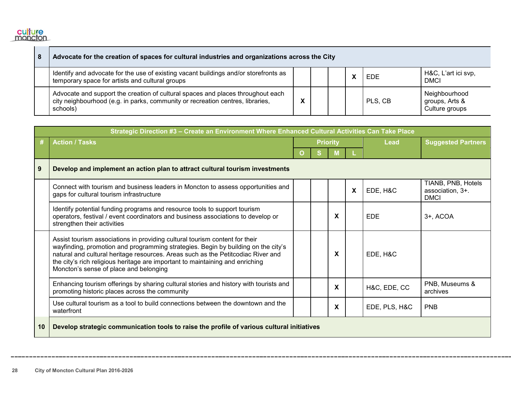

n.

| 8 | Advocate for the creation of spaces for cultural industries and organizations across the City                                                                                 |  |  |  |  |         |                                                   |
|---|-------------------------------------------------------------------------------------------------------------------------------------------------------------------------------|--|--|--|--|---------|---------------------------------------------------|
|   | Identify and advocate for the use of existing vacant buildings and/or storefronts as<br>temporary space for artists and cultural groups                                       |  |  |  |  | EDE     | H&C, L'art ici svp,<br><b>DMCI</b>                |
|   | Advocate and support the creation of cultural spaces and places throughout each<br>city neighbourhood (e.g. in parks, community or recreation centres, libraries,<br>schools) |  |  |  |  | PLS, CB | Neighbourhood<br>groups, Arts &<br>Culture groups |

|    | Strategic Direction #3 - Create an Environment Where Enhanced Cultural Activities Can Take Place                                                                                                                                                                                                                                                                                |   |                 |   |   |               |                                                       |  |
|----|---------------------------------------------------------------------------------------------------------------------------------------------------------------------------------------------------------------------------------------------------------------------------------------------------------------------------------------------------------------------------------|---|-----------------|---|---|---------------|-------------------------------------------------------|--|
| #  | <b>Action / Tasks</b>                                                                                                                                                                                                                                                                                                                                                           |   | <b>Priority</b> |   |   | Lead          | <b>Suggested Partners</b>                             |  |
|    |                                                                                                                                                                                                                                                                                                                                                                                 | O | S               | M |   |               |                                                       |  |
| 9  | Develop and implement an action plan to attract cultural tourism investments                                                                                                                                                                                                                                                                                                    |   |                 |   |   |               |                                                       |  |
|    | Connect with tourism and business leaders in Moncton to assess opportunities and<br>gaps for cultural tourism infrastructure                                                                                                                                                                                                                                                    |   |                 |   | X | EDE, H&C      | TIANB, PNB, Hotels<br>association, 3+.<br><b>DMCI</b> |  |
|    | Identify potential funding programs and resource tools to support tourism<br>operators, festival / event coordinators and business associations to develop or<br>strengthen their activities                                                                                                                                                                                    |   |                 | X |   | <b>EDE</b>    | 3+, ACOA                                              |  |
|    | Assist tourism associations in providing cultural tourism content for their<br>wayfinding, promotion and programming strategies. Begin by building on the city's<br>natural and cultural heritage resources. Areas such as the Petitcodiac River and<br>the city's rich religious heritage are important to maintaining and enriching<br>Moncton's sense of place and belonging |   |                 | X |   | EDE, H&C      |                                                       |  |
|    | Enhancing tourism offerings by sharing cultural stories and history with tourists and<br>promoting historic places across the community                                                                                                                                                                                                                                         |   |                 | X |   | H&C, EDE, CC  | PNB, Museums &<br>archives                            |  |
|    | Use cultural tourism as a tool to build connections between the downtown and the<br>waterfront                                                                                                                                                                                                                                                                                  |   |                 | X |   | EDE, PLS, H&C | <b>PNB</b>                                            |  |
| 10 | Develop strategic communication tools to raise the profile of various cultural initiatives                                                                                                                                                                                                                                                                                      |   |                 |   |   |               |                                                       |  |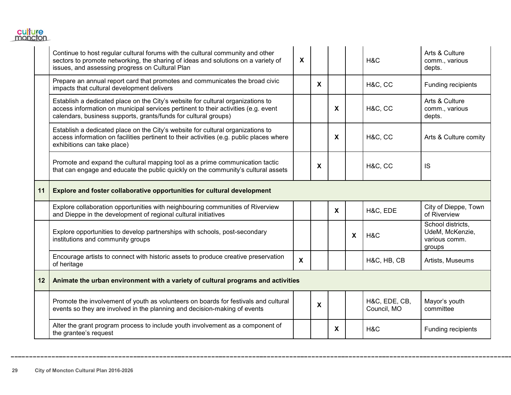

|    | Continue to host regular cultural forums with the cultural community and other<br>sectors to promote networking, the sharing of ideas and solutions on a variety of<br>issues, and assessing progress on Cultural Plan                   | $\boldsymbol{\mathsf{X}}$ |              |                           |                           | H&C                          | Arts & Culture<br>comm., various<br>depts.                      |
|----|------------------------------------------------------------------------------------------------------------------------------------------------------------------------------------------------------------------------------------------|---------------------------|--------------|---------------------------|---------------------------|------------------------------|-----------------------------------------------------------------|
|    | Prepare an annual report card that promotes and communicates the broad civic<br>impacts that cultural development delivers                                                                                                               |                           | $\mathsf{X}$ |                           |                           | H&C, CC                      | Funding recipients                                              |
|    | Establish a dedicated place on the City's website for cultural organizations to<br>access information on municipal services pertinent to their activities (e.g. event<br>calendars, business supports, grants/funds for cultural groups) |                           |              | $\boldsymbol{\mathsf{X}}$ |                           | H&C, CC                      | Arts & Culture<br>comm., various<br>depts.                      |
|    | Establish a dedicated place on the City's website for cultural organizations to<br>access information on facilities pertinent to their activities (e.g. public places where<br>exhibitions can take place)                               |                           |              | $\boldsymbol{\mathsf{X}}$ |                           | H&C, CC                      | Arts & Culture comity                                           |
|    | Promote and expand the cultural mapping tool as a prime communication tactic<br>that can engage and educate the public quickly on the community's cultural assets                                                                        |                           | X            |                           |                           | H&C, CC                      | <b>IS</b>                                                       |
| 11 | Explore and foster collaborative opportunities for cultural development                                                                                                                                                                  |                           |              |                           |                           |                              |                                                                 |
|    | Explore collaboration opportunities with neighbouring communities of Riverview<br>and Dieppe in the development of regional cultural initiatives                                                                                         |                           |              | $\boldsymbol{\mathsf{X}}$ |                           | H&C, EDE                     | City of Dieppe, Town<br>of Riverview                            |
|    | Explore opportunities to develop partnerships with schools, post-secondary<br>institutions and community groups                                                                                                                          |                           |              |                           | $\boldsymbol{\mathsf{X}}$ | H&C                          | School districts,<br>UdeM, McKenzie,<br>various comm.<br>groups |
|    | Encourage artists to connect with historic assets to produce creative preservation<br>of heritage                                                                                                                                        | $\boldsymbol{\mathsf{X}}$ |              |                           |                           | H&C, HB, CB                  | Artists, Museums                                                |
| 12 | Animate the urban environment with a variety of cultural programs and activities                                                                                                                                                         |                           |              |                           |                           |                              |                                                                 |
|    | Promote the involvement of youth as volunteers on boards for festivals and cultural<br>events so they are involved in the planning and decision-making of events                                                                         |                           | X            |                           |                           | H&C, EDE, CB,<br>Council, MO | Mayor's youth<br>committee                                      |
|    | Alter the grant program process to include youth involvement as a component of<br>the grantee's request                                                                                                                                  |                           |              | X                         |                           | H&C                          | Funding recipients                                              |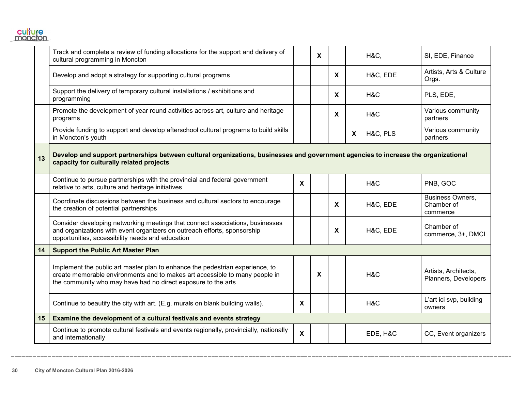

|    | Track and complete a review of funding allocations for the support and delivery of<br>cultural programming in Moncton                                                                                                         |                           | X |                           |              | <b>H&amp;C,</b> | SI, EDE, Finance                                  |
|----|-------------------------------------------------------------------------------------------------------------------------------------------------------------------------------------------------------------------------------|---------------------------|---|---------------------------|--------------|-----------------|---------------------------------------------------|
|    | Develop and adopt a strategy for supporting cultural programs                                                                                                                                                                 |                           |   | $\boldsymbol{\mathsf{X}}$ |              | H&C, EDE        | Artists, Arts & Culture<br>Orgs.                  |
|    | Support the delivery of temporary cultural installations / exhibitions and<br>programming                                                                                                                                     |                           |   | $\boldsymbol{\mathsf{X}}$ |              | H&C             | PLS, EDE,                                         |
|    | Promote the development of year round activities across art, culture and heritage<br>programs                                                                                                                                 |                           |   | $\boldsymbol{\mathsf{X}}$ |              | H&C             | Various community<br>partners                     |
|    | Provide funding to support and develop afterschool cultural programs to build skills<br>in Moncton's youth                                                                                                                    |                           |   |                           | $\mathbf{X}$ | H&C, PLS        | Various community<br>partners                     |
| 13 | Develop and support partnerships between cultural organizations, businesses and government agencies to increase the organizational<br>capacity for culturally related projects                                                |                           |   |                           |              |                 |                                                   |
|    | Continue to pursue partnerships with the provincial and federal government<br>relative to arts, culture and heritage initiatives                                                                                              | X                         |   |                           |              | H&C             | PNB, GOC                                          |
|    | Coordinate discussions between the business and cultural sectors to encourage<br>the creation of potential partnerships                                                                                                       |                           |   | $\boldsymbol{\mathsf{X}}$ |              | H&C, EDE        | <b>Business Owners,</b><br>Chamber of<br>commerce |
|    | Consider developing networking meetings that connect associations, businesses<br>and organizations with event organizers on outreach efforts, sponsorship<br>opportunities, accessibility needs and education                 |                           |   | X                         |              | H&C, EDE        | Chamber of<br>commerce, 3+, DMCI                  |
| 14 | <b>Support the Public Art Master Plan</b>                                                                                                                                                                                     |                           |   |                           |              |                 |                                                   |
|    | Implement the public art master plan to enhance the pedestrian experience, to<br>create memorable environments and to makes art accessible to many people in<br>the community who may have had no direct exposure to the arts |                           | X |                           |              | H&C             | Artists, Architects,<br>Planners, Developers      |
|    | Continue to beautify the city with art. (E.g. murals on blank building walls).                                                                                                                                                | X                         |   |                           |              | H&C             | L'art ici svp, building<br>owners                 |
| 15 | Examine the development of a cultural festivals and events strategy                                                                                                                                                           |                           |   |                           |              |                 |                                                   |
|    | Continue to promote cultural festivals and events regionally, provincially, nationally<br>and internationally                                                                                                                 | $\boldsymbol{\mathsf{X}}$ |   |                           |              | EDE, H&C        | CC, Event organizers                              |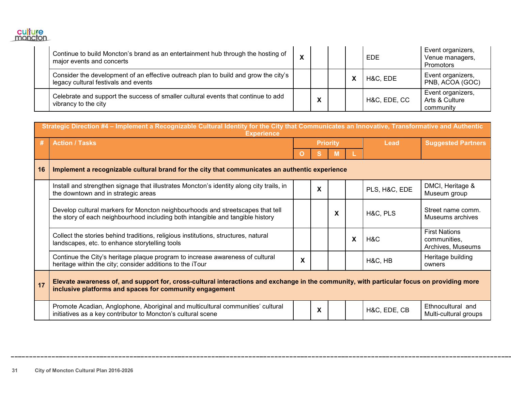

| Continue to build Moncton's brand as an entertainment hub through the hosting of<br>major events and concerts               | X |                                           |  | <b>EDE</b>   | Event organizers,<br>Venue managers,<br>Promotors |
|-----------------------------------------------------------------------------------------------------------------------------|---|-------------------------------------------|--|--------------|---------------------------------------------------|
| Consider the development of an effective outreach plan to build and grow the city's<br>legacy cultural festivals and events |   |                                           |  | H&C, EDE     | Event organizers,<br>PNB, ACOA (GOC)              |
| Celebrate and support the success of smaller cultural events that continue to add<br>vibrancy to the city                   |   | $\mathbf{v}$<br>$\boldsymbol{\mathsf{A}}$ |  | H&C, EDE, CC | Event organizers,<br>Arts & Culture<br>community  |

| Strategic Direction #4 - Implement a Recognizable Cultural Identity for the City that Communicates an Innovative, Transformative and Authentic<br><b>Experience</b> |                                                                                                                                                                                                      |                 |   |   |   |               |                                                           |
|---------------------------------------------------------------------------------------------------------------------------------------------------------------------|------------------------------------------------------------------------------------------------------------------------------------------------------------------------------------------------------|-----------------|---|---|---|---------------|-----------------------------------------------------------|
| #                                                                                                                                                                   | <b>Action / Tasks</b>                                                                                                                                                                                | <b>Priority</b> |   |   |   | <b>Lead</b>   | <b>Suggested Partners</b>                                 |
|                                                                                                                                                                     |                                                                                                                                                                                                      | O               | s | M |   |               |                                                           |
| 16                                                                                                                                                                  | Implement a recognizable cultural brand for the city that communicates an authentic experience                                                                                                       |                 |   |   |   |               |                                                           |
|                                                                                                                                                                     | Install and strengthen signage that illustrates Moncton's identity along city trails, in<br>the downtown and in strategic areas                                                                      |                 | X |   |   | PLS, H&C, EDE | DMCI, Heritage &<br>Museum group                          |
|                                                                                                                                                                     | Develop cultural markers for Moncton neighbourhoods and streetscapes that tell<br>the story of each neighbourhood including both intangible and tangible history                                     |                 |   | X |   | H&C, PLS      | Street name comm.<br>Museums archives                     |
|                                                                                                                                                                     | Collect the stories behind traditions, religious institutions, structures, natural<br>landscapes, etc. to enhance storytelling tools                                                                 |                 |   |   | X | H&C           | <b>First Nations</b><br>communities,<br>Archives, Museums |
|                                                                                                                                                                     | Continue the City's heritage plaque program to increase awareness of cultural<br>heritage within the city; consider additions to the iTour                                                           | X               |   |   |   | H&C, HB       | Heritage building<br>owners                               |
| 17                                                                                                                                                                  | Elevate awareness of, and support for, cross-cultural interactions and exchange in the community, with particular focus on providing more<br>inclusive platforms and spaces for community engagement |                 |   |   |   |               |                                                           |
|                                                                                                                                                                     | Promote Acadian, Anglophone, Aboriginal and multicultural communities' cultural<br>initiatives as a key contributor to Moncton's cultural scene                                                      |                 | X |   |   | H&C, EDE, CB  | Ethnocultural and<br>Multi-cultural groups                |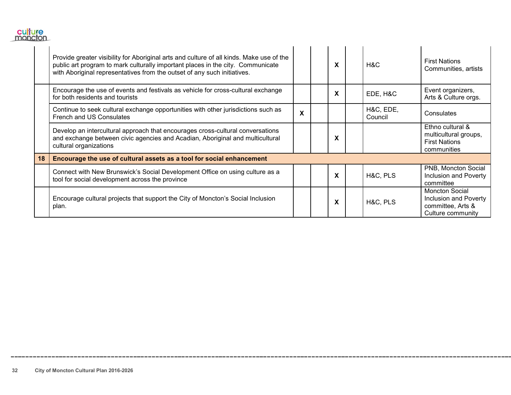

|    | Provide greater visibility for Aboriginal arts and culture of all kinds. Make use of the<br>public art program to mark culturally important places in the city. Communicate<br>with Aboriginal representatives from the outset of any such initiatives. |   | X | H&C                  | <b>First Nations</b><br>Communities, artists                                             |
|----|---------------------------------------------------------------------------------------------------------------------------------------------------------------------------------------------------------------------------------------------------------|---|---|----------------------|------------------------------------------------------------------------------------------|
|    | Encourage the use of events and festivals as vehicle for cross-cultural exchange<br>for both residents and tourists                                                                                                                                     |   | X | EDE, H&C             | Event organizers,<br>Arts & Culture orgs.                                                |
|    | Continue to seek cultural exchange opportunities with other jurisdictions such as<br>French and US Consulates                                                                                                                                           | X |   | H&C, EDE,<br>Council | Consulates                                                                               |
|    | Develop an intercultural approach that encourages cross-cultural conversations<br>and exchange between civic agencies and Acadian, Aboriginal and multicultural<br>cultural organizations                                                               |   | X |                      | Ethno cultural &<br>multicultural groups,<br><b>First Nations</b><br>communities         |
| 18 | Encourage the use of cultural assets as a tool for social enhancement                                                                                                                                                                                   |   |   |                      |                                                                                          |
|    | Connect with New Brunswick's Social Development Office on using culture as a<br>tool for social development across the province                                                                                                                         |   | X | H&C, PLS             | PNB, Moncton Social<br>Inclusion and Poverty<br>committee                                |
|    | Encourage cultural projects that support the City of Moncton's Social Inclusion<br>plan.                                                                                                                                                                |   | X | H&C, PLS             | <b>Moncton Social</b><br>Inclusion and Poverty<br>committee, Arts &<br>Culture community |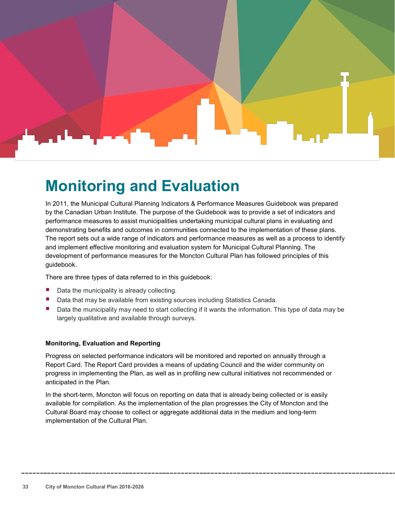

### <span id="page-34-0"></span>**Monitoring and Evaluation**

In 2011, the Municipal Cultural Planning Indicators & Performance Measures Guidebook was prepared by the Canadian Urban Institute. The purpose of the Guidebook was to provide a set of indicators and performance measures to assist municipalities undertaking municipal cultural plans in evaluating and demonstrating benefits and outcomes in communities connected to the implementation of these plans. The report sets out a wide range of indicators and performance measures as well as a process to identify and implement effective monitoring and evaluation system for Municipal Cultural Planning. The development of performance measures for the Moncton Cultural Plan has followed principles of this guidebook.

There are three types of data referred to in this guidebook:

- Data the municipality is already collecting.
- Data that may be available from existing sources including Statistics Canada.
- Data the municipality may need to start collecting if it wants the information. This type of data may be largely qualitative and available through surveys.

#### **Monitoring, Evaluation and Reporting**

Progress on selected performance indicators will be monitored and reported on annually through a Report Card. The Report Card provides a means of updating Council and the wider community on progress in implementing the Plan, as well as in profiling new cultural initiatives not recommended or anticipated in the Plan.

In the short-term, Moncton will focus on reporting on data that is already being collected or is easily available for compilation. As the implementation of the plan progresses the City of Moncton and the Cultural Board may choose to collect or aggregate additional data in the medium and long-term implementation of the Cultural Plan.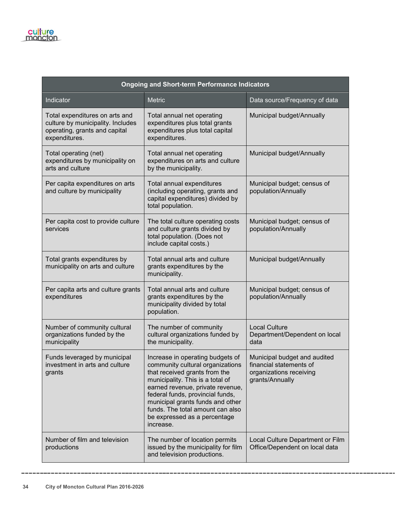| <b>Ongoing and Short-term Performance Indicators</b>                                                                  |                                                                                                                                                                                                                                                                                                                                        |                                                                                                       |  |  |  |  |  |
|-----------------------------------------------------------------------------------------------------------------------|----------------------------------------------------------------------------------------------------------------------------------------------------------------------------------------------------------------------------------------------------------------------------------------------------------------------------------------|-------------------------------------------------------------------------------------------------------|--|--|--|--|--|
| Indicator                                                                                                             | <b>Metric</b>                                                                                                                                                                                                                                                                                                                          | Data source/Frequency of data                                                                         |  |  |  |  |  |
| Total expenditures on arts and<br>culture by municipality. Includes<br>operating, grants and capital<br>expenditures. | Total annual net operating<br>expenditures plus total grants<br>expenditures plus total capital<br>expenditures.                                                                                                                                                                                                                       | Municipal budget/Annually                                                                             |  |  |  |  |  |
| Total operating (net)<br>expenditures by municipality on<br>arts and culture                                          | Total annual net operating<br>expenditures on arts and culture<br>by the municipality.                                                                                                                                                                                                                                                 | Municipal budget/Annually                                                                             |  |  |  |  |  |
| Per capita expenditures on arts<br>and culture by municipality                                                        | Total annual expenditures<br>(including operating, grants and<br>capital expenditures) divided by<br>total population.                                                                                                                                                                                                                 | Municipal budget; census of<br>population/Annually                                                    |  |  |  |  |  |
| Per capita cost to provide culture<br>services                                                                        | The total culture operating costs<br>and culture grants divided by<br>total population. (Does not<br>include capital costs.)                                                                                                                                                                                                           | Municipal budget; census of<br>population/Annually                                                    |  |  |  |  |  |
| Total grants expenditures by<br>municipality on arts and culture                                                      | Total annual arts and culture<br>grants expenditures by the<br>municipality.                                                                                                                                                                                                                                                           | Municipal budget/Annually                                                                             |  |  |  |  |  |
| Per capita arts and culture grants<br>expenditures                                                                    | Total annual arts and culture<br>grants expenditures by the<br>municipality divided by total<br>population.                                                                                                                                                                                                                            | Municipal budget; census of<br>population/Annually                                                    |  |  |  |  |  |
| Number of community cultural<br>organizations funded by the<br>municipality                                           | The number of community<br>cultural organizations funded by<br>the municipality.                                                                                                                                                                                                                                                       | <b>Local Culture</b><br>Department/Dependent on local<br>data                                         |  |  |  |  |  |
| Funds leveraged by municipal<br>investment in arts and culture<br>grants                                              | Increase in operating budgets of<br>community cultural organizations<br>that received grants from the<br>municipality. This is a total of<br>earned revenue, private revenue,<br>federal funds, provincial funds,<br>municipal grants funds and other<br>funds. The total amount can also<br>be expressed as a percentage<br>increase. | Municipal budget and audited<br>financial statements of<br>organizations receiving<br>grants/Annually |  |  |  |  |  |
| Number of film and television<br>productions                                                                          | The number of location permits<br>issued by the municipality for film<br>and television productions.                                                                                                                                                                                                                                   | Local Culture Department or Film<br>Office/Dependent on local data                                    |  |  |  |  |  |

--------------------------------

------------------------

\_\_\_\_\_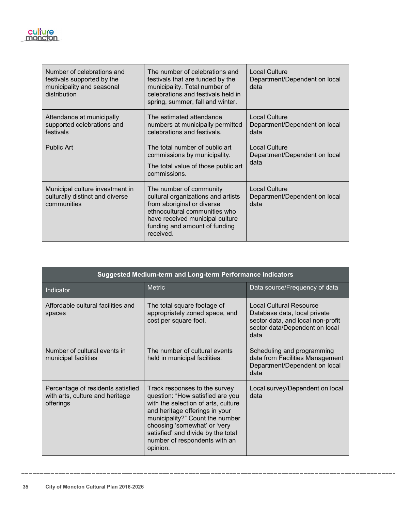| <b>SITU</b> |  |
|-------------|--|
| moneio      |  |

| Number of celebrations and<br>festivals supported by the<br>municipality and seasonal<br>distribution | The number of celebrations and<br>festivals that are funded by the<br>municipality. Total number of<br>celebrations and festivals held in<br>spring, summer, fall and winter.                                 | <b>Local Culture</b><br>Department/Dependent on local<br>data |
|-------------------------------------------------------------------------------------------------------|---------------------------------------------------------------------------------------------------------------------------------------------------------------------------------------------------------------|---------------------------------------------------------------|
| Attendance at municipally<br>supported celebrations and<br>festivals                                  | The estimated attendance<br>numbers at municipally permitted<br>celebrations and festivals.                                                                                                                   | <b>Local Culture</b><br>Department/Dependent on local<br>data |
| Public Art                                                                                            | The total number of public art<br>commissions by municipality.<br>The total value of those public art<br>commissions.                                                                                         | <b>Local Culture</b><br>Department/Dependent on local<br>data |
| Municipal culture investment in<br>culturally distinct and diverse<br>communities                     | The number of community<br>cultural organizations and artists<br>from aboriginal or diverse<br>ethnocultural communities who<br>have received municipal culture<br>funding and amount of funding<br>received. | <b>Local Culture</b><br>Department/Dependent on local<br>data |

| <b>Suggested Medium-term and Long-term Performance Indicators</b>                 |                                                                                                                                                                                                                                                                                                  |                                                                                                                                               |  |  |  |  |
|-----------------------------------------------------------------------------------|--------------------------------------------------------------------------------------------------------------------------------------------------------------------------------------------------------------------------------------------------------------------------------------------------|-----------------------------------------------------------------------------------------------------------------------------------------------|--|--|--|--|
| Indicator                                                                         | <b>Metric</b>                                                                                                                                                                                                                                                                                    | Data source/Frequency of data                                                                                                                 |  |  |  |  |
| Affordable cultural facilities and<br>spaces                                      | The total square footage of<br>appropriately zoned space, and<br>cost per square foot.                                                                                                                                                                                                           | <b>Local Cultural Resource</b><br>Database data, local private<br>sector data, and local non-profit<br>sector data/Dependent on local<br>data |  |  |  |  |
| Number of cultural events in<br>municipal facilities                              | The number of cultural events<br>held in municipal facilities.                                                                                                                                                                                                                                   | Scheduling and programming<br>data from Facilities Management<br>Department/Dependent on local<br>data                                        |  |  |  |  |
| Percentage of residents satisfied<br>with arts, culture and heritage<br>offerings | Track responses to the survey<br>question: "How satisfied are you<br>with the selection of arts, culture<br>and heritage offerings in your<br>municipality?" Count the number<br>choosing 'somewhat' or 'very<br>satisfied' and divide by the total<br>number of respondents with an<br>opinion. | Local survey/Dependent on local<br>data                                                                                                       |  |  |  |  |

\_\_\_\_\_\_

\_\_\_\_\_\_\_\_\_\_\_\_

\_\_\_\_\_\_\_\_\_\_\_\_\_\_\_\_\_

-------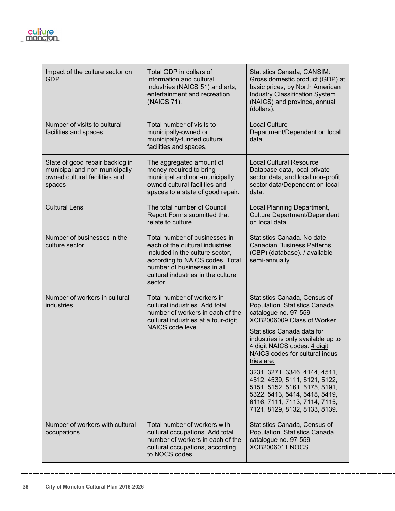

**36 City of Moncton Cultural Plan 2016-2026**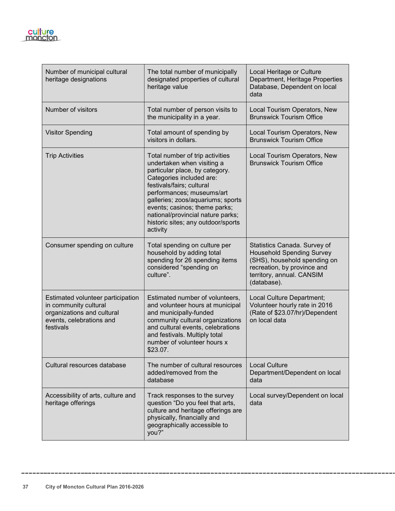| Number of municipal cultural<br>heritage designations                                                                             | The total number of municipally<br>designated properties of cultural<br>heritage value                                                                                                                                                                                                                                                             | Local Heritage or Culture<br>Department, Heritage Properties<br>Database, Dependent on local<br>data                                                                        |
|-----------------------------------------------------------------------------------------------------------------------------------|----------------------------------------------------------------------------------------------------------------------------------------------------------------------------------------------------------------------------------------------------------------------------------------------------------------------------------------------------|-----------------------------------------------------------------------------------------------------------------------------------------------------------------------------|
| Number of visitors                                                                                                                | Total number of person visits to<br>the municipality in a year.                                                                                                                                                                                                                                                                                    | Local Tourism Operators, New<br><b>Brunswick Tourism Office</b>                                                                                                             |
| <b>Visitor Spending</b>                                                                                                           | Total amount of spending by<br>visitors in dollars.                                                                                                                                                                                                                                                                                                | Local Tourism Operators, New<br><b>Brunswick Tourism Office</b>                                                                                                             |
| <b>Trip Activities</b>                                                                                                            | Total number of trip activities<br>undertaken when visiting a<br>particular place, by category.<br>Categories included are:<br>festivals/fairs; cultural<br>performances; museums/art<br>galleries; zoos/aquariums; sports<br>events; casinos; theme parks;<br>national/provincial nature parks;<br>historic sites; any outdoor/sports<br>activity | Local Tourism Operators, New<br><b>Brunswick Tourism Office</b>                                                                                                             |
| Consumer spending on culture                                                                                                      | Total spending on culture per<br>household by adding total<br>spending for 26 spending items<br>considered "spending on<br>culture".                                                                                                                                                                                                               | Statistics Canada. Survey of<br><b>Household Spending Survey</b><br>(SHS), household spending on<br>recreation, by province and<br>territory, annual. CANSIM<br>(database). |
| Estimated volunteer participation<br>in community cultural<br>organizations and cultural<br>events, celebrations and<br>festivals | Estimated number of volunteers,<br>and volunteer hours at municipal<br>and municipally-funded<br>community cultural organizations<br>and cultural events, celebrations<br>and festivals. Multiply total<br>number of volunteer hours x<br>\$23.07.                                                                                                 | Local Culture Department;<br>Volunteer hourly rate in 2016<br>(Rate of \$23.07/hr)/Dependent<br>on local data                                                               |
| Cultural resources database                                                                                                       | The number of cultural resources<br>added/removed from the<br>database                                                                                                                                                                                                                                                                             | <b>Local Culture</b><br>Department/Dependent on local<br>data                                                                                                               |
| Accessibility of arts, culture and<br>heritage offerings                                                                          | Track responses to the survey<br>question "Do you feel that arts,<br>culture and heritage offerings are<br>physically, financially and<br>geographically accessible to<br>you?"                                                                                                                                                                    | Local survey/Dependent on local<br>data                                                                                                                                     |